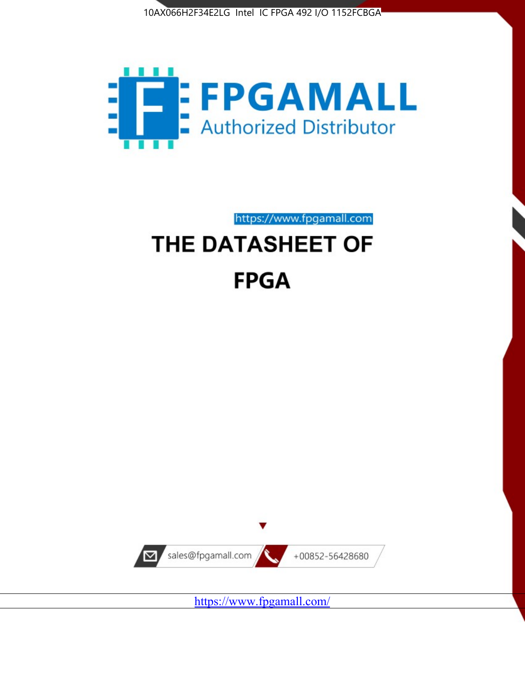



https://www.fpgamall.com

# THE DATASHEET OF **FPGA**



<https://www.fpgamall.com/>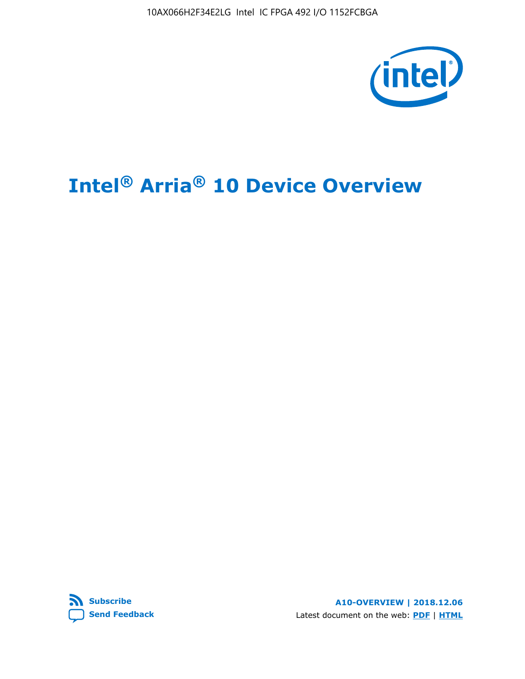10AX066H2F34E2LG Intel IC FPGA 492 I/O 1152FCBGA



# **Intel® Arria® 10 Device Overview**



**A10-OVERVIEW | 2018.12.06** Latest document on the web: **[PDF](https://www.intel.com/content/dam/www/programmable/us/en/pdfs/literature/hb/arria-10/a10_overview.pdf)** | **[HTML](https://www.intel.com/content/www/us/en/programmable/documentation/sam1403480274650.html)**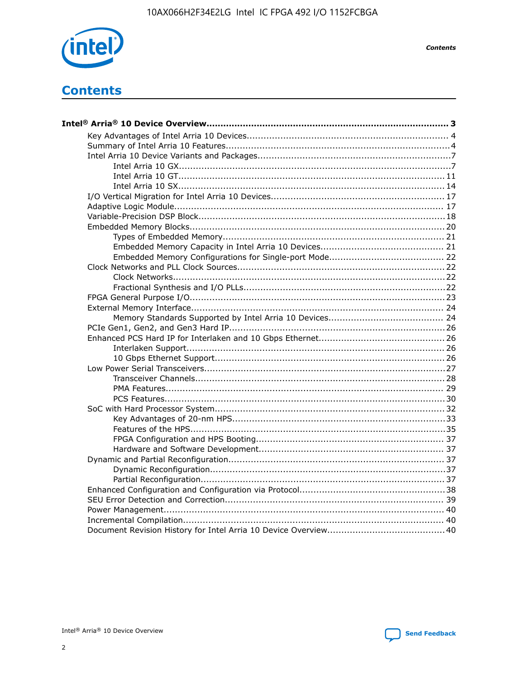

**Contents** 

# **Contents**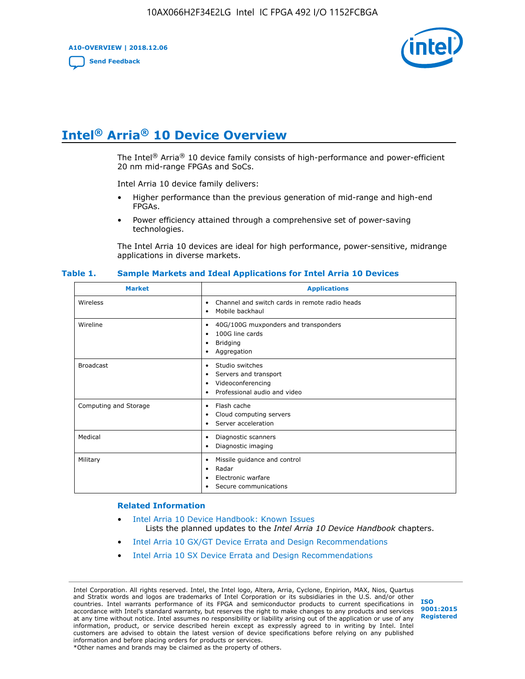**A10-OVERVIEW | 2018.12.06**

**[Send Feedback](mailto:FPGAtechdocfeedback@intel.com?subject=Feedback%20on%20Intel%20Arria%2010%20Device%20Overview%20(A10-OVERVIEW%202018.12.06)&body=We%20appreciate%20your%20feedback.%20In%20your%20comments,%20also%20specify%20the%20page%20number%20or%20paragraph.%20Thank%20you.)**



# **Intel® Arria® 10 Device Overview**

The Intel<sup>®</sup> Arria<sup>®</sup> 10 device family consists of high-performance and power-efficient 20 nm mid-range FPGAs and SoCs.

Intel Arria 10 device family delivers:

- Higher performance than the previous generation of mid-range and high-end FPGAs.
- Power efficiency attained through a comprehensive set of power-saving technologies.

The Intel Arria 10 devices are ideal for high performance, power-sensitive, midrange applications in diverse markets.

| <b>Market</b>         | <b>Applications</b>                                                                                               |
|-----------------------|-------------------------------------------------------------------------------------------------------------------|
| Wireless              | Channel and switch cards in remote radio heads<br>٠<br>Mobile backhaul<br>٠                                       |
| Wireline              | 40G/100G muxponders and transponders<br>٠<br>100G line cards<br>٠<br><b>Bridging</b><br>٠<br>Aggregation<br>٠     |
| <b>Broadcast</b>      | Studio switches<br>٠<br>Servers and transport<br>٠<br>Videoconferencing<br>٠<br>Professional audio and video<br>٠ |
| Computing and Storage | Flash cache<br>٠<br>Cloud computing servers<br>٠<br>Server acceleration<br>٠                                      |
| Medical               | Diagnostic scanners<br>٠<br>Diagnostic imaging<br>٠                                                               |
| Military              | Missile guidance and control<br>٠<br>Radar<br>٠<br>Electronic warfare<br>٠<br>Secure communications<br>٠          |

#### **Table 1. Sample Markets and Ideal Applications for Intel Arria 10 Devices**

#### **Related Information**

- [Intel Arria 10 Device Handbook: Known Issues](http://www.altera.com/support/kdb/solutions/rd07302013_646.html) Lists the planned updates to the *Intel Arria 10 Device Handbook* chapters.
- [Intel Arria 10 GX/GT Device Errata and Design Recommendations](https://www.intel.com/content/www/us/en/programmable/documentation/agz1493851706374.html#yqz1494433888646)
- [Intel Arria 10 SX Device Errata and Design Recommendations](https://www.intel.com/content/www/us/en/programmable/documentation/cru1462832385668.html#cru1462832558642)

Intel Corporation. All rights reserved. Intel, the Intel logo, Altera, Arria, Cyclone, Enpirion, MAX, Nios, Quartus and Stratix words and logos are trademarks of Intel Corporation or its subsidiaries in the U.S. and/or other countries. Intel warrants performance of its FPGA and semiconductor products to current specifications in accordance with Intel's standard warranty, but reserves the right to make changes to any products and services at any time without notice. Intel assumes no responsibility or liability arising out of the application or use of any information, product, or service described herein except as expressly agreed to in writing by Intel. Intel customers are advised to obtain the latest version of device specifications before relying on any published information and before placing orders for products or services. \*Other names and brands may be claimed as the property of others.

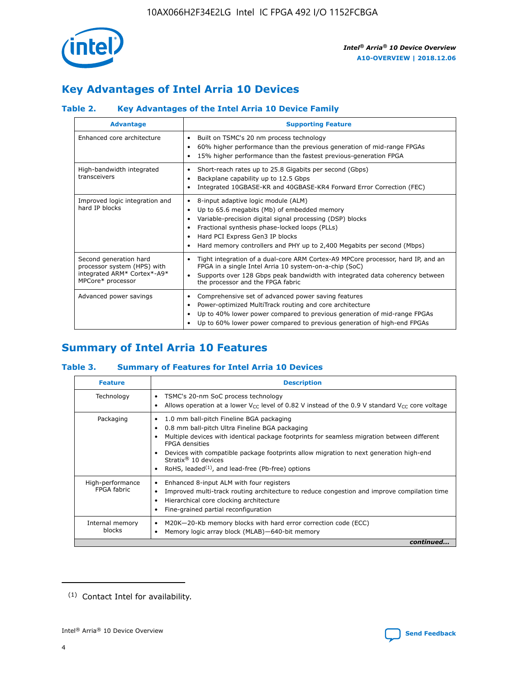

# **Key Advantages of Intel Arria 10 Devices**

## **Table 2. Key Advantages of the Intel Arria 10 Device Family**

| <b>Advantage</b>                                                                                          | <b>Supporting Feature</b>                                                                                                                                                                                                                                                                                                |
|-----------------------------------------------------------------------------------------------------------|--------------------------------------------------------------------------------------------------------------------------------------------------------------------------------------------------------------------------------------------------------------------------------------------------------------------------|
| Enhanced core architecture                                                                                | Built on TSMC's 20 nm process technology<br>٠<br>60% higher performance than the previous generation of mid-range FPGAs<br>٠<br>15% higher performance than the fastest previous-generation FPGA<br>٠                                                                                                                    |
| High-bandwidth integrated<br>transceivers                                                                 | Short-reach rates up to 25.8 Gigabits per second (Gbps)<br>٠<br>Backplane capability up to 12.5 Gbps<br>٠<br>Integrated 10GBASE-KR and 40GBASE-KR4 Forward Error Correction (FEC)<br>٠                                                                                                                                   |
| Improved logic integration and<br>hard IP blocks                                                          | 8-input adaptive logic module (ALM)<br>٠<br>Up to 65.6 megabits (Mb) of embedded memory<br>٠<br>Variable-precision digital signal processing (DSP) blocks<br>Fractional synthesis phase-locked loops (PLLs)<br>Hard PCI Express Gen3 IP blocks<br>Hard memory controllers and PHY up to 2,400 Megabits per second (Mbps) |
| Second generation hard<br>processor system (HPS) with<br>integrated ARM* Cortex*-A9*<br>MPCore* processor | Tight integration of a dual-core ARM Cortex-A9 MPCore processor, hard IP, and an<br>٠<br>FPGA in a single Intel Arria 10 system-on-a-chip (SoC)<br>Supports over 128 Gbps peak bandwidth with integrated data coherency between<br>$\bullet$<br>the processor and the FPGA fabric                                        |
| Advanced power savings                                                                                    | Comprehensive set of advanced power saving features<br>٠<br>Power-optimized MultiTrack routing and core architecture<br>٠<br>Up to 40% lower power compared to previous generation of mid-range FPGAs<br>Up to 60% lower power compared to previous generation of high-end FPGAs                                         |

# **Summary of Intel Arria 10 Features**

## **Table 3. Summary of Features for Intel Arria 10 Devices**

| <b>Feature</b>                  | <b>Description</b>                                                                                                                                                                                                                                                                                                                                                                                 |
|---------------------------------|----------------------------------------------------------------------------------------------------------------------------------------------------------------------------------------------------------------------------------------------------------------------------------------------------------------------------------------------------------------------------------------------------|
| Technology                      | TSMC's 20-nm SoC process technology<br>Allows operation at a lower $V_{\text{CC}}$ level of 0.82 V instead of the 0.9 V standard $V_{\text{CC}}$ core voltage                                                                                                                                                                                                                                      |
| Packaging                       | 1.0 mm ball-pitch Fineline BGA packaging<br>٠<br>0.8 mm ball-pitch Ultra Fineline BGA packaging<br>Multiple devices with identical package footprints for seamless migration between different<br><b>FPGA</b> densities<br>Devices with compatible package footprints allow migration to next generation high-end<br>Stratix $@10$ devices<br>RoHS, leaded $(1)$ , and lead-free (Pb-free) options |
| High-performance<br>FPGA fabric | Enhanced 8-input ALM with four registers<br>Improved multi-track routing architecture to reduce congestion and improve compilation time<br>Hierarchical core clocking architecture<br>Fine-grained partial reconfiguration                                                                                                                                                                         |
| Internal memory<br>blocks       | M20K-20-Kb memory blocks with hard error correction code (ECC)<br>Memory logic array block (MLAB)-640-bit memory                                                                                                                                                                                                                                                                                   |
|                                 | continued                                                                                                                                                                                                                                                                                                                                                                                          |



<sup>(1)</sup> Contact Intel for availability.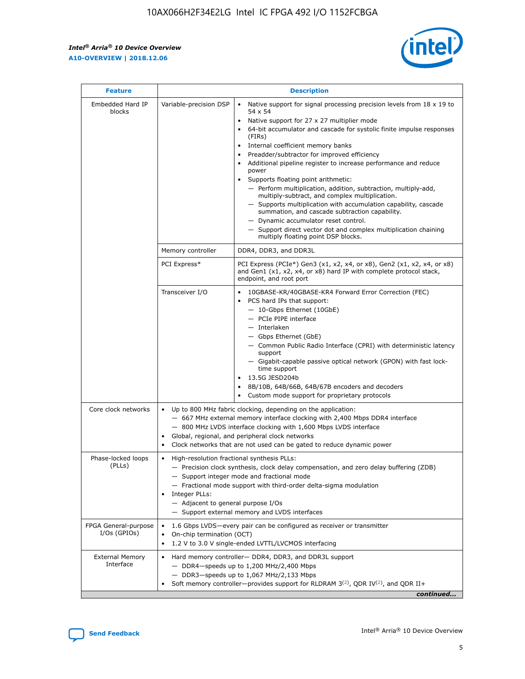r



| <b>Feature</b>                         | <b>Description</b>                                                                                             |                                                                                                                                                                                                                                                                                                                                                                                                                                                                                                                                                                                                                                                                                                                                                                                                                                        |  |  |  |  |  |
|----------------------------------------|----------------------------------------------------------------------------------------------------------------|----------------------------------------------------------------------------------------------------------------------------------------------------------------------------------------------------------------------------------------------------------------------------------------------------------------------------------------------------------------------------------------------------------------------------------------------------------------------------------------------------------------------------------------------------------------------------------------------------------------------------------------------------------------------------------------------------------------------------------------------------------------------------------------------------------------------------------------|--|--|--|--|--|
| Embedded Hard IP<br>blocks             | Variable-precision DSP                                                                                         | Native support for signal processing precision levels from $18 \times 19$ to<br>54 x 54<br>Native support for 27 x 27 multiplier mode<br>64-bit accumulator and cascade for systolic finite impulse responses<br>(FIRs)<br>Internal coefficient memory banks<br>$\bullet$<br>Preadder/subtractor for improved efficiency<br>Additional pipeline register to increase performance and reduce<br>power<br>Supports floating point arithmetic:<br>- Perform multiplication, addition, subtraction, multiply-add,<br>multiply-subtract, and complex multiplication.<br>- Supports multiplication with accumulation capability, cascade<br>summation, and cascade subtraction capability.<br>- Dynamic accumulator reset control.<br>- Support direct vector dot and complex multiplication chaining<br>multiply floating point DSP blocks. |  |  |  |  |  |
|                                        | Memory controller                                                                                              | DDR4, DDR3, and DDR3L                                                                                                                                                                                                                                                                                                                                                                                                                                                                                                                                                                                                                                                                                                                                                                                                                  |  |  |  |  |  |
|                                        | PCI Express*                                                                                                   | PCI Express (PCIe*) Gen3 (x1, x2, x4, or x8), Gen2 (x1, x2, x4, or x8)<br>and Gen1 (x1, x2, x4, or x8) hard IP with complete protocol stack,<br>endpoint, and root port                                                                                                                                                                                                                                                                                                                                                                                                                                                                                                                                                                                                                                                                |  |  |  |  |  |
|                                        | Transceiver I/O                                                                                                | 10GBASE-KR/40GBASE-KR4 Forward Error Correction (FEC)<br>PCS hard IPs that support:<br>$\bullet$<br>- 10-Gbps Ethernet (10GbE)<br>- PCIe PIPE interface<br>$-$ Interlaken<br>- Gbps Ethernet (GbE)<br>- Common Public Radio Interface (CPRI) with deterministic latency<br>support<br>- Gigabit-capable passive optical network (GPON) with fast lock-<br>time support<br>13.5G JESD204b<br>$\bullet$<br>8B/10B, 64B/66B, 64B/67B encoders and decoders<br>Custom mode support for proprietary protocols                                                                                                                                                                                                                                                                                                                               |  |  |  |  |  |
| Core clock networks                    | $\bullet$<br>$\bullet$                                                                                         | Up to 800 MHz fabric clocking, depending on the application:<br>- 667 MHz external memory interface clocking with 2,400 Mbps DDR4 interface<br>- 800 MHz LVDS interface clocking with 1,600 Mbps LVDS interface<br>Global, regional, and peripheral clock networks<br>Clock networks that are not used can be gated to reduce dynamic power                                                                                                                                                                                                                                                                                                                                                                                                                                                                                            |  |  |  |  |  |
| Phase-locked loops<br>(PLLs)           | High-resolution fractional synthesis PLLs:<br>$\bullet$<br>Integer PLLs:<br>- Adjacent to general purpose I/Os | - Precision clock synthesis, clock delay compensation, and zero delay buffering (ZDB)<br>- Support integer mode and fractional mode<br>- Fractional mode support with third-order delta-sigma modulation<br>- Support external memory and LVDS interfaces                                                                                                                                                                                                                                                                                                                                                                                                                                                                                                                                                                              |  |  |  |  |  |
| FPGA General-purpose<br>$I/Os$ (GPIOs) | On-chip termination (OCT)                                                                                      | 1.6 Gbps LVDS-every pair can be configured as receiver or transmitter<br>1.2 V to 3.0 V single-ended LVTTL/LVCMOS interfacing                                                                                                                                                                                                                                                                                                                                                                                                                                                                                                                                                                                                                                                                                                          |  |  |  |  |  |
| <b>External Memory</b><br>Interface    |                                                                                                                | Hard memory controller- DDR4, DDR3, and DDR3L support<br>$-$ DDR4-speeds up to 1,200 MHz/2,400 Mbps<br>- DDR3-speeds up to 1,067 MHz/2,133 Mbps<br>Soft memory controller—provides support for RLDRAM $3^{(2)}$ , QDR IV $^{(2)}$ , and QDR II+<br>continued                                                                                                                                                                                                                                                                                                                                                                                                                                                                                                                                                                           |  |  |  |  |  |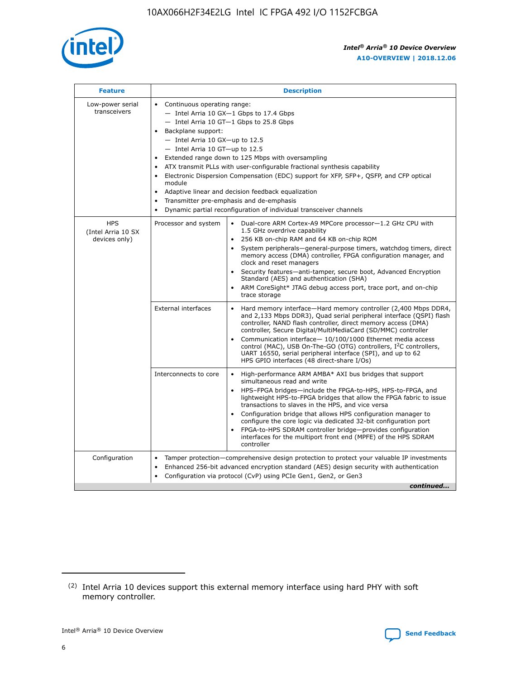

| <b>Feature</b>                                    | <b>Description</b>                                                                                                                                                                                                                                                                                                                                                                                                                                                                                                                                                                                                                           |
|---------------------------------------------------|----------------------------------------------------------------------------------------------------------------------------------------------------------------------------------------------------------------------------------------------------------------------------------------------------------------------------------------------------------------------------------------------------------------------------------------------------------------------------------------------------------------------------------------------------------------------------------------------------------------------------------------------|
| Low-power serial<br>transceivers                  | • Continuous operating range:<br>- Intel Arria 10 GX-1 Gbps to 17.4 Gbps<br>- Intel Arria 10 GT-1 Gbps to 25.8 Gbps<br>Backplane support:<br>$-$ Intel Arria 10 GX-up to 12.5<br>$-$ Intel Arria 10 GT-up to 12.5<br>Extended range down to 125 Mbps with oversampling<br>ATX transmit PLLs with user-configurable fractional synthesis capability<br>Electronic Dispersion Compensation (EDC) support for XFP, SFP+, QSFP, and CFP optical<br>module<br>• Adaptive linear and decision feedback equalization<br>Transmitter pre-emphasis and de-emphasis<br>$\bullet$<br>Dynamic partial reconfiguration of individual transceiver channels |
| <b>HPS</b><br>(Intel Arria 10 SX<br>devices only) | Dual-core ARM Cortex-A9 MPCore processor-1.2 GHz CPU with<br>Processor and system<br>$\bullet$<br>1.5 GHz overdrive capability<br>256 KB on-chip RAM and 64 KB on-chip ROM<br>System peripherals-general-purpose timers, watchdog timers, direct<br>memory access (DMA) controller, FPGA configuration manager, and<br>clock and reset managers<br>Security features-anti-tamper, secure boot, Advanced Encryption<br>$\bullet$<br>Standard (AES) and authentication (SHA)<br>ARM CoreSight* JTAG debug access port, trace port, and on-chip<br>trace storage                                                                                |
|                                                   | <b>External interfaces</b><br>Hard memory interface-Hard memory controller (2,400 Mbps DDR4,<br>$\bullet$<br>and 2,133 Mbps DDR3), Quad serial peripheral interface (QSPI) flash<br>controller, NAND flash controller, direct memory access (DMA)<br>controller, Secure Digital/MultiMediaCard (SD/MMC) controller<br>Communication interface-10/100/1000 Ethernet media access<br>$\bullet$<br>control (MAC), USB On-The-GO (OTG) controllers, I <sup>2</sup> C controllers,<br>UART 16550, serial peripheral interface (SPI), and up to 62<br>HPS GPIO interfaces (48 direct-share I/Os)                                                   |
|                                                   | High-performance ARM AMBA* AXI bus bridges that support<br>Interconnects to core<br>$\bullet$<br>simultaneous read and write<br>HPS-FPGA bridges-include the FPGA-to-HPS, HPS-to-FPGA, and<br>$\bullet$<br>lightweight HPS-to-FPGA bridges that allow the FPGA fabric to issue<br>transactions to slaves in the HPS, and vice versa<br>Configuration bridge that allows HPS configuration manager to<br>configure the core logic via dedicated 32-bit configuration port<br>FPGA-to-HPS SDRAM controller bridge-provides configuration<br>interfaces for the multiport front end (MPFE) of the HPS SDRAM<br>controller                       |
| Configuration                                     | Tamper protection—comprehensive design protection to protect your valuable IP investments<br>Enhanced 256-bit advanced encryption standard (AES) design security with authentication<br>٠<br>Configuration via protocol (CvP) using PCIe Gen1, Gen2, or Gen3<br>continued                                                                                                                                                                                                                                                                                                                                                                    |

<sup>(2)</sup> Intel Arria 10 devices support this external memory interface using hard PHY with soft memory controller.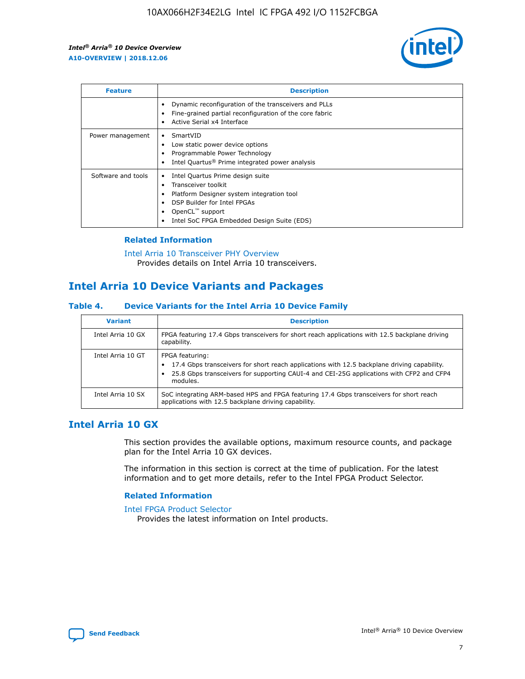

| <b>Feature</b>     | <b>Description</b>                                                                                                                                                                                               |
|--------------------|------------------------------------------------------------------------------------------------------------------------------------------------------------------------------------------------------------------|
|                    | Dynamic reconfiguration of the transceivers and PLLs<br>Fine-grained partial reconfiguration of the core fabric<br>Active Serial x4 Interface<br>$\bullet$                                                       |
| Power management   | SmartVID<br>Low static power device options<br>Programmable Power Technology<br>Intel Quartus <sup>®</sup> Prime integrated power analysis                                                                       |
| Software and tools | Intel Quartus Prime design suite<br>Transceiver toolkit<br>Platform Designer system integration tool<br>DSP Builder for Intel FPGAs<br>OpenCL <sup>™</sup> support<br>Intel SoC FPGA Embedded Design Suite (EDS) |

## **Related Information**

[Intel Arria 10 Transceiver PHY Overview](https://www.intel.com/content/www/us/en/programmable/documentation/nik1398707230472.html#nik1398706768037) Provides details on Intel Arria 10 transceivers.

## **Intel Arria 10 Device Variants and Packages**

#### **Table 4. Device Variants for the Intel Arria 10 Device Family**

| <b>Variant</b>    | <b>Description</b>                                                                                                                                                                                                     |
|-------------------|------------------------------------------------------------------------------------------------------------------------------------------------------------------------------------------------------------------------|
| Intel Arria 10 GX | FPGA featuring 17.4 Gbps transceivers for short reach applications with 12.5 backplane driving<br>capability.                                                                                                          |
| Intel Arria 10 GT | FPGA featuring:<br>17.4 Gbps transceivers for short reach applications with 12.5 backplane driving capability.<br>25.8 Gbps transceivers for supporting CAUI-4 and CEI-25G applications with CFP2 and CFP4<br>modules. |
| Intel Arria 10 SX | SoC integrating ARM-based HPS and FPGA featuring 17.4 Gbps transceivers for short reach<br>applications with 12.5 backplane driving capability.                                                                        |

## **Intel Arria 10 GX**

This section provides the available options, maximum resource counts, and package plan for the Intel Arria 10 GX devices.

The information in this section is correct at the time of publication. For the latest information and to get more details, refer to the Intel FPGA Product Selector.

#### **Related Information**

#### [Intel FPGA Product Selector](http://www.altera.com/products/selector/psg-selector.html) Provides the latest information on Intel products.

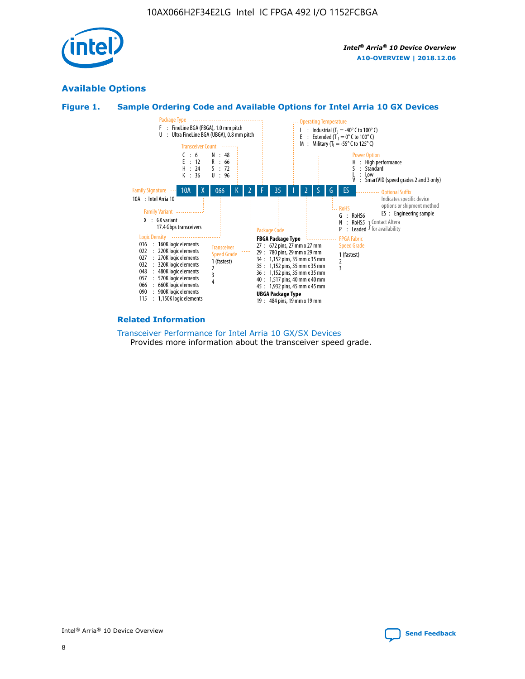

## **Available Options**





#### **Related Information**

[Transceiver Performance for Intel Arria 10 GX/SX Devices](https://www.intel.com/content/www/us/en/programmable/documentation/mcn1413182292568.html#mcn1413213965502) Provides more information about the transceiver speed grade.

![](_page_8_Picture_8.jpeg)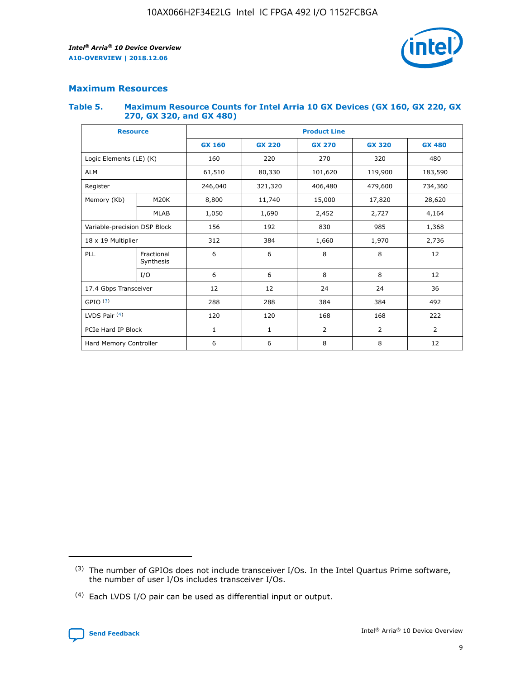![](_page_9_Picture_2.jpeg)

## **Maximum Resources**

#### **Table 5. Maximum Resource Counts for Intel Arria 10 GX Devices (GX 160, GX 220, GX 270, GX 320, and GX 480)**

| <b>Resource</b>         |                                            | <b>Product Line</b> |                  |                |                |                |  |  |  |
|-------------------------|--------------------------------------------|---------------------|------------------|----------------|----------------|----------------|--|--|--|
|                         |                                            | <b>GX 160</b>       | <b>GX 220</b>    | <b>GX 270</b>  | <b>GX 320</b>  | <b>GX 480</b>  |  |  |  |
| Logic Elements (LE) (K) |                                            | 160                 | 220              | 270            | 320            | 480            |  |  |  |
| <b>ALM</b>              |                                            | 61,510              | 80,330           | 101,620        | 119,900        | 183,590        |  |  |  |
| Register                |                                            | 246,040             | 321,320          | 406,480        |                | 734,360        |  |  |  |
| Memory (Kb)             | M <sub>20</sub> K                          | 8,800               | 11,740<br>15,000 |                | 17,820         | 28,620         |  |  |  |
| <b>MLAB</b>             |                                            | 1,050               | 1,690            | 2,452          | 2,727          | 4,164          |  |  |  |
|                         | 192<br>Variable-precision DSP Block<br>156 |                     |                  |                | 985            | 1,368          |  |  |  |
| 18 x 19 Multiplier      |                                            | 312                 | 384              | 1,970<br>1,660 |                | 2,736          |  |  |  |
| PLL                     | Fractional<br>Synthesis                    | 6                   | 6                | 8              | 8              | 12             |  |  |  |
|                         | I/O                                        | 6                   | 6                | 8              | 8              | 12             |  |  |  |
| 17.4 Gbps Transceiver   |                                            | 12                  | 12               | 24             | 24             | 36             |  |  |  |
| GPIO <sup>(3)</sup>     |                                            | 288                 | 288<br>384       |                | 384            | 492            |  |  |  |
| LVDS Pair $(4)$         |                                            | 120                 | 120              | 168            | 168            | 222            |  |  |  |
| PCIe Hard IP Block      |                                            | $\mathbf{1}$        | 1                | $\overline{2}$ | $\overline{2}$ | $\overline{2}$ |  |  |  |
| Hard Memory Controller  |                                            | 6                   | 6                | 8              | 8              | 12             |  |  |  |

<sup>(4)</sup> Each LVDS I/O pair can be used as differential input or output.

![](_page_9_Picture_8.jpeg)

<sup>(3)</sup> The number of GPIOs does not include transceiver I/Os. In the Intel Quartus Prime software, the number of user I/Os includes transceiver I/Os.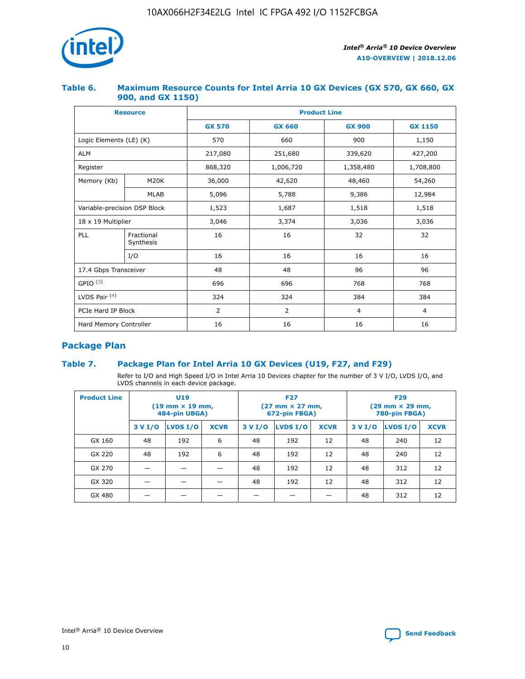![](_page_10_Picture_1.jpeg)

## **Table 6. Maximum Resource Counts for Intel Arria 10 GX Devices (GX 570, GX 660, GX 900, and GX 1150)**

|                              | <b>Resource</b>         | <b>Product Line</b> |                |                |                |  |  |  |
|------------------------------|-------------------------|---------------------|----------------|----------------|----------------|--|--|--|
|                              |                         | <b>GX 570</b>       | <b>GX 660</b>  | <b>GX 900</b>  | <b>GX 1150</b> |  |  |  |
| Logic Elements (LE) (K)      |                         | 570                 | 660            | 900            | 1,150          |  |  |  |
| <b>ALM</b>                   |                         | 217,080             | 251,680        | 339,620        | 427,200        |  |  |  |
| Register                     |                         | 868,320             | 1,006,720      | 1,358,480      | 1,708,800      |  |  |  |
| Memory (Kb)                  | <b>M20K</b>             | 36,000              | 42,620         | 48,460         | 54,260         |  |  |  |
| <b>MLAB</b>                  |                         | 5,096               | 5,788          | 9,386          | 12,984         |  |  |  |
| Variable-precision DSP Block |                         | 1,523               | 1,687          | 1,518          | 1,518          |  |  |  |
| 18 x 19 Multiplier           |                         | 3,046               | 3,374          | 3,036          | 3,036          |  |  |  |
| PLL                          | Fractional<br>Synthesis | 16                  | 16             | 32             | 32             |  |  |  |
|                              | I/O                     | 16                  | 16             | 16             | 16             |  |  |  |
| 17.4 Gbps Transceiver        |                         | 48                  | 48             | 96             | 96             |  |  |  |
| GPIO <sup>(3)</sup>          |                         | 696                 | 696            | 768            | 768            |  |  |  |
| LVDS Pair $(4)$              |                         | 324                 | 324            | 384            | 384            |  |  |  |
| PCIe Hard IP Block           |                         | 2                   | $\overline{2}$ | $\overline{4}$ | $\overline{4}$ |  |  |  |
| Hard Memory Controller       |                         | 16                  | 16             | 16             | 16             |  |  |  |

## **Package Plan**

## **Table 7. Package Plan for Intel Arria 10 GX Devices (U19, F27, and F29)**

Refer to I/O and High Speed I/O in Intel Arria 10 Devices chapter for the number of 3 V I/O, LVDS I/O, and LVDS channels in each device package.

| <b>Product Line</b> |         | U <sub>19</sub><br>$(19 \text{ mm} \times 19 \text{ mm})$<br>484-pin UBGA) |             | <b>F27</b><br>(27 mm × 27 mm,<br>672-pin FBGA) |                 |             | <b>F29</b><br>(29 mm × 29 mm,<br>780-pin FBGA) |          |             |  |
|---------------------|---------|----------------------------------------------------------------------------|-------------|------------------------------------------------|-----------------|-------------|------------------------------------------------|----------|-------------|--|
|                     | 3 V I/O | LVDS I/O                                                                   | <b>XCVR</b> | 3 V I/O                                        | <b>LVDS I/O</b> | <b>XCVR</b> | 3 V I/O                                        | LVDS I/O | <b>XCVR</b> |  |
| GX 160              | 48      | 192                                                                        | 6           | 48                                             | 192             | 12          | 48                                             | 240      | 12          |  |
| GX 220              | 48      | 192                                                                        | 6           | 48                                             | 192             | 12          | 48                                             | 240      | 12          |  |
| GX 270              |         |                                                                            |             | 48                                             | 192             | 12          | 48                                             | 312      | 12          |  |
| GX 320              |         |                                                                            |             | 48                                             | 192             | 12          | 48                                             | 312      | 12          |  |
| GX 480              |         |                                                                            |             |                                                |                 |             | 48                                             | 312      | 12          |  |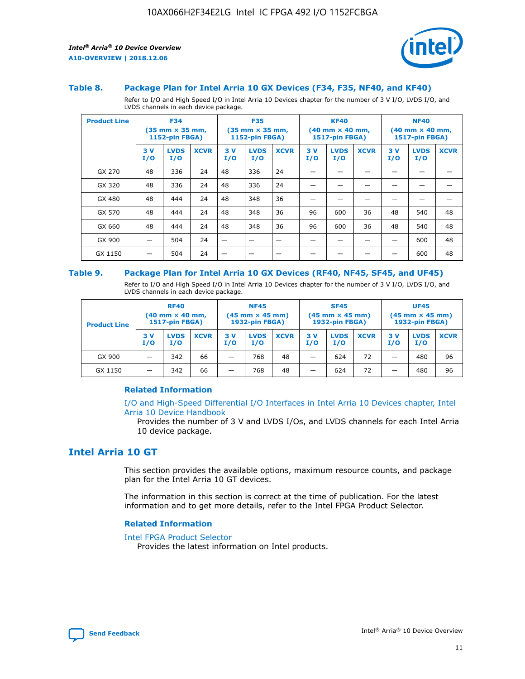![](_page_11_Picture_2.jpeg)

#### **Table 8. Package Plan for Intel Arria 10 GX Devices (F34, F35, NF40, and KF40)**

Refer to I/O and High Speed I/O in Intel Arria 10 Devices chapter for the number of 3 V I/O, LVDS I/O, and LVDS channels in each device package.

| <b>Product Line</b> |           | <b>F34</b><br>$(35 \text{ mm} \times 35 \text{ mm})$<br>1152-pin FBGA) |             | <b>F35</b><br>$(35 \text{ mm} \times 35 \text{ mm})$<br><b>1152-pin FBGA)</b> |                    | <b>KF40</b><br>$(40$ mm $\times$ 40 mm,<br>1517-pin FBGA) |           | <b>NF40</b><br>$(40$ mm $\times$ 40 mm,<br><b>1517-pin FBGA)</b> |             |            |                    |             |
|---------------------|-----------|------------------------------------------------------------------------|-------------|-------------------------------------------------------------------------------|--------------------|-----------------------------------------------------------|-----------|------------------------------------------------------------------|-------------|------------|--------------------|-------------|
|                     | 3V<br>I/O | <b>LVDS</b><br>I/O                                                     | <b>XCVR</b> | 3V<br>I/O                                                                     | <b>LVDS</b><br>I/O | <b>XCVR</b>                                               | 3V<br>I/O | <b>LVDS</b><br>I/O                                               | <b>XCVR</b> | 3 V<br>I/O | <b>LVDS</b><br>I/O | <b>XCVR</b> |
| GX 270              | 48        | 336                                                                    | 24          | 48                                                                            | 336                | 24                                                        |           |                                                                  |             |            |                    |             |
| GX 320              | 48        | 336                                                                    | 24          | 48                                                                            | 336                | 24                                                        |           |                                                                  |             |            |                    |             |
| GX 480              | 48        | 444                                                                    | 24          | 48                                                                            | 348                | 36                                                        |           |                                                                  |             |            |                    |             |
| GX 570              | 48        | 444                                                                    | 24          | 48                                                                            | 348                | 36                                                        | 96        | 600                                                              | 36          | 48         | 540                | 48          |
| GX 660              | 48        | 444                                                                    | 24          | 48                                                                            | 348                | 36                                                        | 96        | 600                                                              | 36          | 48         | 540                | 48          |
| GX 900              |           | 504                                                                    | 24          | -                                                                             |                    |                                                           |           |                                                                  |             |            | 600                | 48          |
| GX 1150             |           | 504                                                                    | 24          |                                                                               |                    |                                                           |           |                                                                  |             |            | 600                | 48          |

#### **Table 9. Package Plan for Intel Arria 10 GX Devices (RF40, NF45, SF45, and UF45)**

Refer to I/O and High Speed I/O in Intel Arria 10 Devices chapter for the number of 3 V I/O, LVDS I/O, and LVDS channels in each device package.

| <b>Product Line</b> | <b>RF40</b><br>$(40$ mm $\times$ 40 mm,<br>1517-pin FBGA) |                    |             | <b>NF45</b><br>$(45 \text{ mm} \times 45 \text{ mm})$<br><b>1932-pin FBGA)</b> |                    |             | <b>SF45</b><br>$(45 \text{ mm} \times 45 \text{ mm})$<br><b>1932-pin FBGA)</b> |                    |             | <b>UF45</b><br>$(45 \text{ mm} \times 45 \text{ mm})$<br><b>1932-pin FBGA)</b> |                    |             |
|---------------------|-----------------------------------------------------------|--------------------|-------------|--------------------------------------------------------------------------------|--------------------|-------------|--------------------------------------------------------------------------------|--------------------|-------------|--------------------------------------------------------------------------------|--------------------|-------------|
|                     | 3V<br>I/O                                                 | <b>LVDS</b><br>I/O | <b>XCVR</b> | 3 V<br>I/O                                                                     | <b>LVDS</b><br>I/O | <b>XCVR</b> | 3 V<br>I/O                                                                     | <b>LVDS</b><br>I/O | <b>XCVR</b> | 3V<br>I/O                                                                      | <b>LVDS</b><br>I/O | <b>XCVR</b> |
| GX 900              |                                                           | 342                | 66          | _                                                                              | 768                | 48          |                                                                                | 624                | 72          |                                                                                | 480                | 96          |
| GX 1150             |                                                           | 342                | 66          | _                                                                              | 768                | 48          |                                                                                | 624                | 72          |                                                                                | 480                | 96          |

#### **Related Information**

[I/O and High-Speed Differential I/O Interfaces in Intel Arria 10 Devices chapter, Intel](https://www.intel.com/content/www/us/en/programmable/documentation/sam1403482614086.html#sam1403482030321) [Arria 10 Device Handbook](https://www.intel.com/content/www/us/en/programmable/documentation/sam1403482614086.html#sam1403482030321)

Provides the number of 3 V and LVDS I/Os, and LVDS channels for each Intel Arria 10 device package.

## **Intel Arria 10 GT**

This section provides the available options, maximum resource counts, and package plan for the Intel Arria 10 GT devices.

The information in this section is correct at the time of publication. For the latest information and to get more details, refer to the Intel FPGA Product Selector.

#### **Related Information**

#### [Intel FPGA Product Selector](http://www.altera.com/products/selector/psg-selector.html)

Provides the latest information on Intel products.

![](_page_11_Picture_18.jpeg)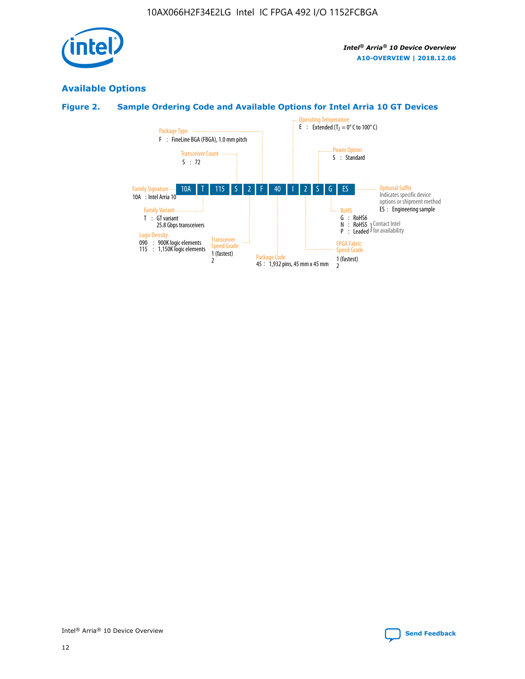![](_page_12_Picture_1.jpeg)

## **Available Options**

## **Figure 2. Sample Ordering Code and Available Options for Intel Arria 10 GT Devices**

![](_page_12_Figure_5.jpeg)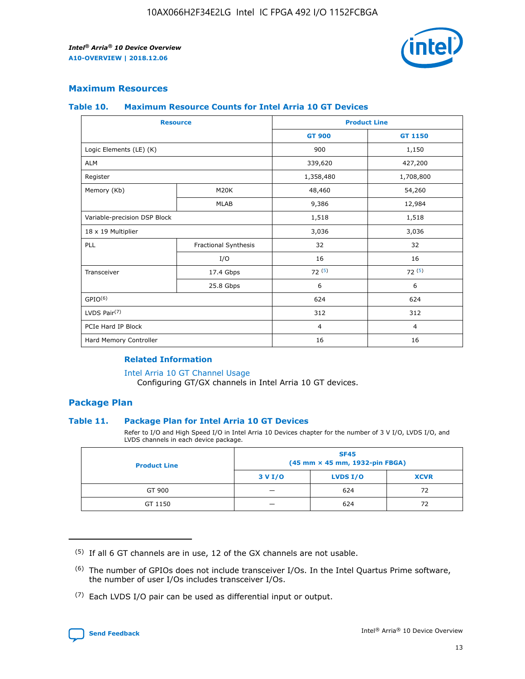![](_page_13_Picture_2.jpeg)

## **Maximum Resources**

#### **Table 10. Maximum Resource Counts for Intel Arria 10 GT Devices**

| <b>Resource</b>              |                      |                | <b>Product Line</b> |  |
|------------------------------|----------------------|----------------|---------------------|--|
|                              |                      | <b>GT 900</b>  | <b>GT 1150</b>      |  |
| Logic Elements (LE) (K)      |                      | 900            | 1,150               |  |
| <b>ALM</b>                   |                      | 339,620        | 427,200             |  |
| Register                     |                      | 1,358,480      | 1,708,800           |  |
| Memory (Kb)                  | M <sub>20</sub> K    | 48,460         | 54,260              |  |
|                              | <b>MLAB</b>          | 9,386          | 12,984              |  |
| Variable-precision DSP Block |                      | 1,518          | 1,518               |  |
| 18 x 19 Multiplier           |                      | 3,036          | 3,036               |  |
| PLL                          | Fractional Synthesis | 32             | 32                  |  |
|                              | I/O                  | 16             | 16                  |  |
| Transceiver                  | 17.4 Gbps            | 72(5)          | 72(5)               |  |
|                              | 25.8 Gbps            | 6              | 6                   |  |
| GPIO <sup>(6)</sup>          |                      | 624            | 624                 |  |
| LVDS Pair $(7)$              |                      | 312            | 312                 |  |
| PCIe Hard IP Block           |                      | $\overline{4}$ | $\overline{4}$      |  |
| Hard Memory Controller       |                      | 16             | 16                  |  |

#### **Related Information**

#### [Intel Arria 10 GT Channel Usage](https://www.intel.com/content/www/us/en/programmable/documentation/nik1398707230472.html#nik1398707008178)

Configuring GT/GX channels in Intel Arria 10 GT devices.

## **Package Plan**

#### **Table 11. Package Plan for Intel Arria 10 GT Devices**

Refer to I/O and High Speed I/O in Intel Arria 10 Devices chapter for the number of 3 V I/O, LVDS I/O, and LVDS channels in each device package.

| <b>Product Line</b> | <b>SF45</b><br>(45 mm × 45 mm, 1932-pin FBGA) |                 |             |  |  |  |
|---------------------|-----------------------------------------------|-----------------|-------------|--|--|--|
|                     | 3 V I/O                                       | <b>LVDS I/O</b> | <b>XCVR</b> |  |  |  |
| GT 900              |                                               | 624             | 72          |  |  |  |
| GT 1150             |                                               | 624             |             |  |  |  |

<sup>(7)</sup> Each LVDS I/O pair can be used as differential input or output.

![](_page_13_Picture_16.jpeg)

 $(5)$  If all 6 GT channels are in use, 12 of the GX channels are not usable.

<sup>(6)</sup> The number of GPIOs does not include transceiver I/Os. In the Intel Quartus Prime software, the number of user I/Os includes transceiver I/Os.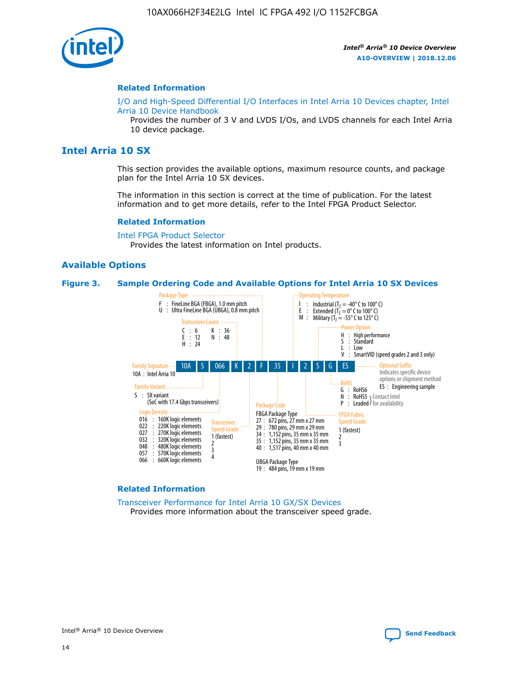![](_page_14_Picture_1.jpeg)

#### **Related Information**

[I/O and High-Speed Differential I/O Interfaces in Intel Arria 10 Devices chapter, Intel](https://www.intel.com/content/www/us/en/programmable/documentation/sam1403482614086.html#sam1403482030321) [Arria 10 Device Handbook](https://www.intel.com/content/www/us/en/programmable/documentation/sam1403482614086.html#sam1403482030321)

Provides the number of 3 V and LVDS I/Os, and LVDS channels for each Intel Arria 10 device package.

## **Intel Arria 10 SX**

This section provides the available options, maximum resource counts, and package plan for the Intel Arria 10 SX devices.

The information in this section is correct at the time of publication. For the latest information and to get more details, refer to the Intel FPGA Product Selector.

#### **Related Information**

[Intel FPGA Product Selector](http://www.altera.com/products/selector/psg-selector.html) Provides the latest information on Intel products.

#### **Available Options**

#### **Figure 3. Sample Ordering Code and Available Options for Intel Arria 10 SX Devices**

![](_page_14_Figure_13.jpeg)

#### **Related Information**

[Transceiver Performance for Intel Arria 10 GX/SX Devices](https://www.intel.com/content/www/us/en/programmable/documentation/mcn1413182292568.html#mcn1413213965502) Provides more information about the transceiver speed grade.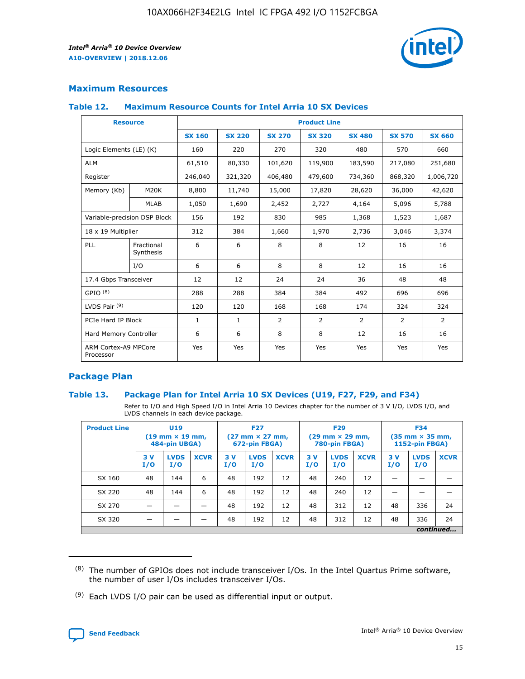![](_page_15_Picture_2.jpeg)

## **Maximum Resources**

#### **Table 12. Maximum Resource Counts for Intel Arria 10 SX Devices**

| <b>Resource</b>                   |                         | <b>Product Line</b> |               |                |                |                |                |                |  |  |
|-----------------------------------|-------------------------|---------------------|---------------|----------------|----------------|----------------|----------------|----------------|--|--|
|                                   |                         | <b>SX 160</b>       | <b>SX 220</b> | <b>SX 270</b>  | <b>SX 320</b>  | <b>SX 480</b>  | <b>SX 570</b>  | <b>SX 660</b>  |  |  |
| Logic Elements (LE) (K)           |                         | 160                 | 220           | 270            | 320            | 480            | 570            | 660            |  |  |
| <b>ALM</b>                        |                         | 61,510              | 80,330        | 101,620        | 119,900        | 183,590        | 217,080        | 251,680        |  |  |
| Register                          |                         | 246,040             | 321,320       | 406,480        | 479,600        | 734,360        | 868,320        | 1,006,720      |  |  |
| Memory (Kb)                       | <b>M20K</b>             | 8,800               | 11,740        | 15,000         | 17,820         | 28,620         | 36,000         | 42,620         |  |  |
|                                   | <b>MLAB</b>             | 1,050               | 1,690         | 2,452          | 2,727          | 4,164          | 5,096          | 5,788          |  |  |
| Variable-precision DSP Block      |                         | 156                 | 192           | 830            | 985            | 1,368          | 1,523          | 1,687          |  |  |
| 18 x 19 Multiplier                |                         | 312                 | 384           | 1,660          | 1,970          | 2,736          | 3,046          | 3,374          |  |  |
| PLL                               | Fractional<br>Synthesis | 6                   | 6             | 8              | 8              | 12             | 16             | 16             |  |  |
|                                   | I/O                     | 6                   | 6             | 8              | 8              | 12             | 16             | 16             |  |  |
| 17.4 Gbps Transceiver             |                         | 12                  | 12            | 24             | 24             | 36             | 48             | 48             |  |  |
| GPIO <sup>(8)</sup>               |                         | 288                 | 288           | 384            | 384            | 492            | 696            | 696            |  |  |
| LVDS Pair $(9)$                   |                         | 120                 | 120           | 168            | 168            | 174            | 324            | 324            |  |  |
| PCIe Hard IP Block                |                         | $\mathbf{1}$        | $\mathbf{1}$  | $\overline{2}$ | $\overline{2}$ | $\overline{2}$ | $\overline{2}$ | $\overline{2}$ |  |  |
| Hard Memory Controller            |                         | 6                   | 6             | 8              | 8              | 12             | 16             | 16             |  |  |
| ARM Cortex-A9 MPCore<br>Processor |                         | Yes                 | Yes           | Yes            | Yes            | Yes            | Yes            | <b>Yes</b>     |  |  |

## **Package Plan**

#### **Table 13. Package Plan for Intel Arria 10 SX Devices (U19, F27, F29, and F34)**

Refer to I/O and High Speed I/O in Intel Arria 10 Devices chapter for the number of 3 V I/O, LVDS I/O, and LVDS channels in each device package.

| <b>Product Line</b> | U19<br>$(19 \text{ mm} \times 19 \text{ mm})$<br>484-pin UBGA) |                    | <b>F27</b><br>$(27 \text{ mm} \times 27 \text{ mm})$<br>672-pin FBGA) |           | <b>F29</b><br>$(29 \text{ mm} \times 29 \text{ mm})$<br>780-pin FBGA) |             |            | <b>F34</b><br>$(35 \text{ mm} \times 35 \text{ mm})$<br><b>1152-pin FBGA)</b> |             |           |                    |             |
|---------------------|----------------------------------------------------------------|--------------------|-----------------------------------------------------------------------|-----------|-----------------------------------------------------------------------|-------------|------------|-------------------------------------------------------------------------------|-------------|-----------|--------------------|-------------|
|                     | 3V<br>I/O                                                      | <b>LVDS</b><br>I/O | <b>XCVR</b>                                                           | 3V<br>I/O | <b>LVDS</b><br>I/O                                                    | <b>XCVR</b> | 3 V<br>I/O | <b>LVDS</b><br>I/O                                                            | <b>XCVR</b> | 3V<br>I/O | <b>LVDS</b><br>I/O | <b>XCVR</b> |
| SX 160              | 48                                                             | 144                | 6                                                                     | 48        | 192                                                                   | 12          | 48         | 240                                                                           | 12          | –         |                    |             |
| SX 220              | 48                                                             | 144                | 6                                                                     | 48        | 192                                                                   | 12          | 48         | 240                                                                           | 12          |           |                    |             |
| SX 270              |                                                                |                    |                                                                       | 48        | 192                                                                   | 12          | 48         | 312                                                                           | 12          | 48        | 336                | 24          |
| SX 320              |                                                                |                    |                                                                       | 48        | 192                                                                   | 12          | 48         | 312                                                                           | 12          | 48        | 336                | 24          |
|                     | continued                                                      |                    |                                                                       |           |                                                                       |             |            |                                                                               |             |           |                    |             |

 $(8)$  The number of GPIOs does not include transceiver I/Os. In the Intel Quartus Prime software, the number of user I/Os includes transceiver I/Os.

 $(9)$  Each LVDS I/O pair can be used as differential input or output.

![](_page_15_Picture_12.jpeg)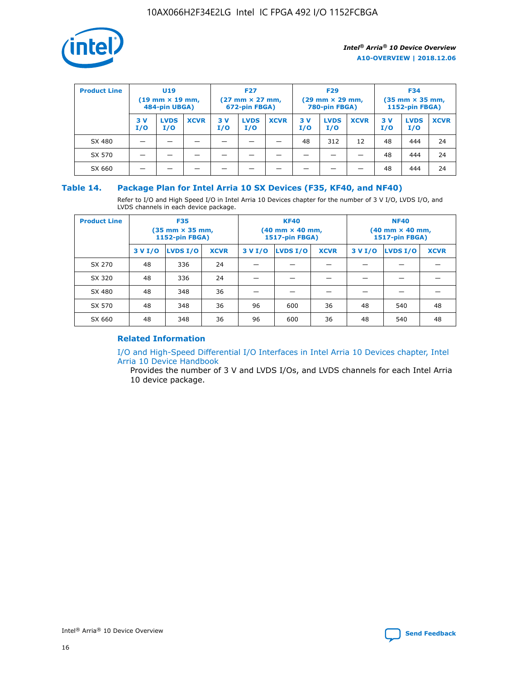![](_page_16_Picture_1.jpeg)

| <b>Product Line</b> | <b>U19</b><br>$(19 \text{ mm} \times 19 \text{ mm})$<br>484-pin UBGA) |                    | <b>F27</b><br>$(27 \text{ mm} \times 27 \text{ mm})$<br>672-pin FBGA) |            |                    | <b>F29</b><br>$(29$ mm $\times$ 29 mm,<br>780-pin FBGA) |           |                    | <b>F34</b><br>$(35$ mm $\times$ 35 mm,<br><b>1152-pin FBGA)</b> |           |                    |             |
|---------------------|-----------------------------------------------------------------------|--------------------|-----------------------------------------------------------------------|------------|--------------------|---------------------------------------------------------|-----------|--------------------|-----------------------------------------------------------------|-----------|--------------------|-------------|
|                     | 3 V<br>I/O                                                            | <b>LVDS</b><br>I/O | <b>XCVR</b>                                                           | 3 V<br>I/O | <b>LVDS</b><br>I/O | <b>XCVR</b>                                             | 3V<br>I/O | <b>LVDS</b><br>I/O | <b>XCVR</b>                                                     | 3V<br>I/O | <b>LVDS</b><br>I/O | <b>XCVR</b> |
| SX 480              |                                                                       |                    |                                                                       |            |                    |                                                         | 48        | 312                | 12                                                              | 48        | 444                | 24          |
| SX 570              |                                                                       |                    |                                                                       |            |                    |                                                         |           |                    |                                                                 | 48        | 444                | 24          |
| SX 660              |                                                                       |                    |                                                                       |            |                    |                                                         |           |                    |                                                                 | 48        | 444                | 24          |

## **Table 14. Package Plan for Intel Arria 10 SX Devices (F35, KF40, and NF40)**

Refer to I/O and High Speed I/O in Intel Arria 10 Devices chapter for the number of 3 V I/O, LVDS I/O, and LVDS channels in each device package.

| <b>Product Line</b> | <b>F35</b><br>(35 mm × 35 mm,<br><b>1152-pin FBGA)</b> |          |             |                                           | <b>KF40</b><br>(40 mm × 40 mm,<br>1517-pin FBGA) |    | <b>NF40</b><br>$(40 \text{ mm} \times 40 \text{ mm})$<br>1517-pin FBGA) |          |             |  |
|---------------------|--------------------------------------------------------|----------|-------------|-------------------------------------------|--------------------------------------------------|----|-------------------------------------------------------------------------|----------|-------------|--|
|                     | 3 V I/O                                                | LVDS I/O | <b>XCVR</b> | <b>LVDS I/O</b><br>3 V I/O<br><b>XCVR</b> |                                                  |    | 3 V I/O                                                                 | LVDS I/O | <b>XCVR</b> |  |
| SX 270              | 48                                                     | 336      | 24          |                                           |                                                  |    |                                                                         |          |             |  |
| SX 320              | 48                                                     | 336      | 24          |                                           |                                                  |    |                                                                         |          |             |  |
| SX 480              | 48                                                     | 348      | 36          |                                           |                                                  |    |                                                                         |          |             |  |
| SX 570              | 48                                                     | 348      | 36          | 96                                        | 600                                              | 36 | 48                                                                      | 540      | 48          |  |
| SX 660              | 48                                                     | 348      | 36          | 96                                        | 600                                              | 36 | 48                                                                      | 540      | 48          |  |

## **Related Information**

[I/O and High-Speed Differential I/O Interfaces in Intel Arria 10 Devices chapter, Intel](https://www.intel.com/content/www/us/en/programmable/documentation/sam1403482614086.html#sam1403482030321) [Arria 10 Device Handbook](https://www.intel.com/content/www/us/en/programmable/documentation/sam1403482614086.html#sam1403482030321)

Provides the number of 3 V and LVDS I/Os, and LVDS channels for each Intel Arria 10 device package.

![](_page_16_Picture_10.jpeg)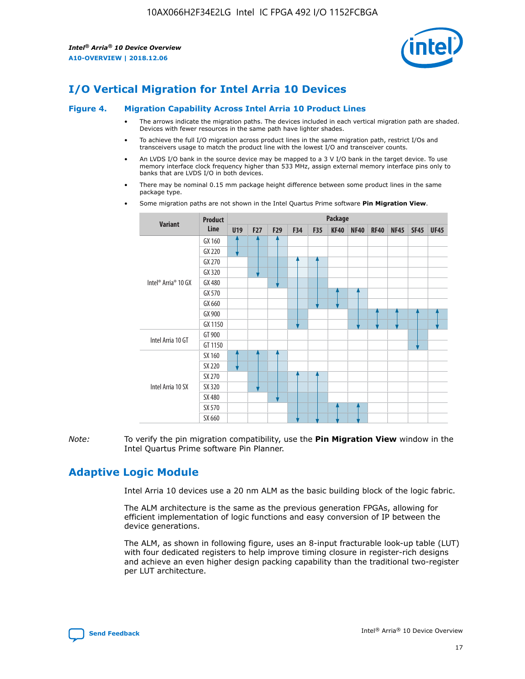![](_page_17_Picture_2.jpeg)

# **I/O Vertical Migration for Intel Arria 10 Devices**

#### **Figure 4. Migration Capability Across Intel Arria 10 Product Lines**

- The arrows indicate the migration paths. The devices included in each vertical migration path are shaded. Devices with fewer resources in the same path have lighter shades.
- To achieve the full I/O migration across product lines in the same migration path, restrict I/Os and transceivers usage to match the product line with the lowest I/O and transceiver counts.
- An LVDS I/O bank in the source device may be mapped to a 3 V I/O bank in the target device. To use memory interface clock frequency higher than 533 MHz, assign external memory interface pins only to banks that are LVDS I/O in both devices.
- There may be nominal 0.15 mm package height difference between some product lines in the same package type.
	- **Variant Product Line Package U19 F27 F29 F34 F35 KF40 NF40 RF40 NF45 SF45 UF45** Intel® Arria® 10 GX GX 160 GX 220 GX 270 GX 320 GX 480 GX 570 GX 660 GX 900 GX 1150 Intel Arria 10 GT GT 900 GT 1150 Intel Arria 10 SX SX 160 SX 220 SX 270 SX 320 SX 480 SX 570 SX 660
- Some migration paths are not shown in the Intel Quartus Prime software **Pin Migration View**.

*Note:* To verify the pin migration compatibility, use the **Pin Migration View** window in the Intel Quartus Prime software Pin Planner.

# **Adaptive Logic Module**

Intel Arria 10 devices use a 20 nm ALM as the basic building block of the logic fabric.

The ALM architecture is the same as the previous generation FPGAs, allowing for efficient implementation of logic functions and easy conversion of IP between the device generations.

The ALM, as shown in following figure, uses an 8-input fracturable look-up table (LUT) with four dedicated registers to help improve timing closure in register-rich designs and achieve an even higher design packing capability than the traditional two-register per LUT architecture.

![](_page_17_Picture_16.jpeg)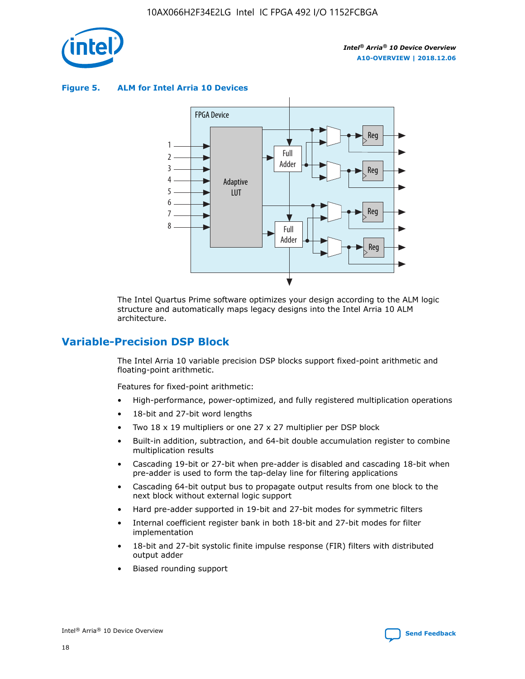![](_page_18_Picture_1.jpeg)

**Figure 5. ALM for Intel Arria 10 Devices**

![](_page_18_Figure_4.jpeg)

The Intel Quartus Prime software optimizes your design according to the ALM logic structure and automatically maps legacy designs into the Intel Arria 10 ALM architecture.

## **Variable-Precision DSP Block**

The Intel Arria 10 variable precision DSP blocks support fixed-point arithmetic and floating-point arithmetic.

Features for fixed-point arithmetic:

- High-performance, power-optimized, and fully registered multiplication operations
- 18-bit and 27-bit word lengths
- Two 18 x 19 multipliers or one 27 x 27 multiplier per DSP block
- Built-in addition, subtraction, and 64-bit double accumulation register to combine multiplication results
- Cascading 19-bit or 27-bit when pre-adder is disabled and cascading 18-bit when pre-adder is used to form the tap-delay line for filtering applications
- Cascading 64-bit output bus to propagate output results from one block to the next block without external logic support
- Hard pre-adder supported in 19-bit and 27-bit modes for symmetric filters
- Internal coefficient register bank in both 18-bit and 27-bit modes for filter implementation
- 18-bit and 27-bit systolic finite impulse response (FIR) filters with distributed output adder
- Biased rounding support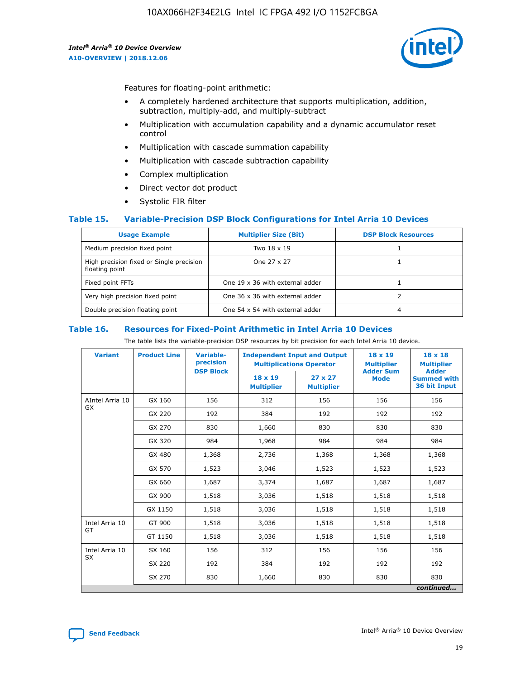![](_page_19_Picture_2.jpeg)

Features for floating-point arithmetic:

- A completely hardened architecture that supports multiplication, addition, subtraction, multiply-add, and multiply-subtract
- Multiplication with accumulation capability and a dynamic accumulator reset control
- Multiplication with cascade summation capability
- Multiplication with cascade subtraction capability
- Complex multiplication
- Direct vector dot product
- Systolic FIR filter

#### **Table 15. Variable-Precision DSP Block Configurations for Intel Arria 10 Devices**

| <b>Usage Example</b>                                       | <b>Multiplier Size (Bit)</b>    | <b>DSP Block Resources</b> |
|------------------------------------------------------------|---------------------------------|----------------------------|
| Medium precision fixed point                               | Two 18 x 19                     |                            |
| High precision fixed or Single precision<br>floating point | One 27 x 27                     |                            |
| Fixed point FFTs                                           | One 19 x 36 with external adder |                            |
| Very high precision fixed point                            | One 36 x 36 with external adder |                            |
| Double precision floating point                            | One 54 x 54 with external adder | 4                          |

#### **Table 16. Resources for Fixed-Point Arithmetic in Intel Arria 10 Devices**

The table lists the variable-precision DSP resources by bit precision for each Intel Arria 10 device.

| <b>Variant</b>  | <b>Product Line</b> | Variable-<br>precision | <b>Independent Input and Output</b><br><b>Multiplications Operator</b> |                                     | $18 \times 19$<br><b>Multiplier</b><br><b>Adder Sum</b> | $18 \times 18$<br><b>Multiplier</b>                |
|-----------------|---------------------|------------------------|------------------------------------------------------------------------|-------------------------------------|---------------------------------------------------------|----------------------------------------------------|
|                 |                     | <b>DSP Block</b>       | 18 x 19<br><b>Multiplier</b>                                           | $27 \times 27$<br><b>Multiplier</b> | <b>Mode</b>                                             | <b>Adder</b><br><b>Summed with</b><br>36 bit Input |
| AIntel Arria 10 | GX 160              | 156                    | 312                                                                    | 156                                 | 156                                                     | 156                                                |
| GX              | GX 220              | 192                    | 384                                                                    | 192                                 | 192                                                     | 192                                                |
|                 | GX 270              | 830                    | 1,660                                                                  | 830                                 | 830                                                     | 830                                                |
|                 | GX 320              | 984                    | 1,968                                                                  | 984                                 | 984                                                     | 984                                                |
|                 | GX 480              | 1,368                  | 2,736                                                                  | 1,368                               | 1,368                                                   | 1,368                                              |
|                 | GX 570              | 1,523                  | 3,046                                                                  | 1,523                               | 1,523                                                   | 1,523                                              |
|                 | GX 660              | 1,687                  | 3,374                                                                  | 1,687                               | 1,687                                                   | 1,687                                              |
|                 | GX 900              | 1,518                  | 3,036                                                                  | 1,518                               | 1,518                                                   | 1,518                                              |
|                 | GX 1150             | 1,518                  | 3,036                                                                  | 1,518                               | 1,518                                                   | 1,518                                              |
| Intel Arria 10  | GT 900              | 1,518                  | 3,036                                                                  | 1,518                               | 1,518                                                   | 1,518                                              |
| GT              | GT 1150             | 1,518                  | 3,036                                                                  | 1,518                               | 1,518                                                   | 1,518                                              |
| Intel Arria 10  | SX 160              | 156                    | 312                                                                    | 156                                 | 156                                                     | 156                                                |
| <b>SX</b>       | SX 220              | 192                    | 384                                                                    | 192                                 | 192                                                     | 192                                                |
|                 | SX 270              | 830                    | 1,660                                                                  | 830                                 | 830                                                     | 830                                                |
|                 |                     |                        |                                                                        |                                     |                                                         | continued                                          |

![](_page_19_Picture_16.jpeg)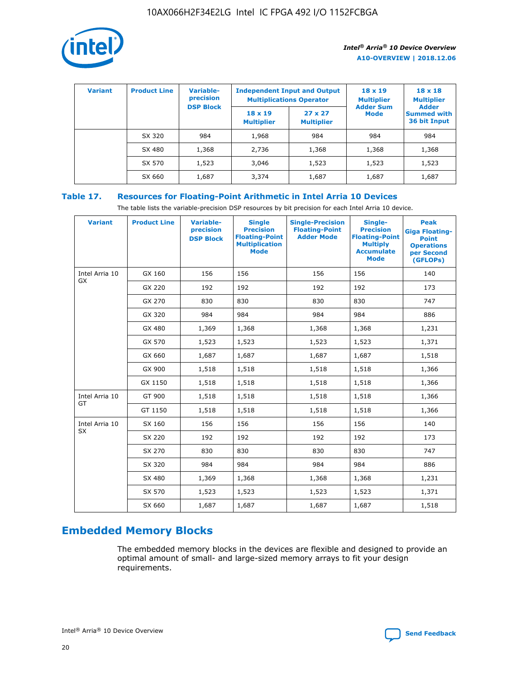![](_page_20_Picture_1.jpeg)

| <b>Variant</b> | <b>Product Line</b> | Variable-<br>precision | <b>Independent Input and Output</b><br><b>Multiplications Operator</b> |                                     | $18 \times 19$<br><b>Multiplier</b> | $18 \times 18$<br><b>Multiplier</b><br><b>Adder</b> |  |
|----------------|---------------------|------------------------|------------------------------------------------------------------------|-------------------------------------|-------------------------------------|-----------------------------------------------------|--|
|                |                     | <b>DSP Block</b>       | $18 \times 19$<br><b>Multiplier</b>                                    | $27 \times 27$<br><b>Multiplier</b> | <b>Adder Sum</b><br><b>Mode</b>     | <b>Summed with</b><br>36 bit Input                  |  |
|                | SX 320              | 984                    | 1,968                                                                  | 984                                 | 984                                 | 984                                                 |  |
|                | SX 480              | 1,368                  | 2,736                                                                  | 1,368                               | 1,368                               | 1,368                                               |  |
|                | SX 570              | 1,523                  | 3,046                                                                  | 1,523                               | 1,523                               | 1,523                                               |  |
|                | SX 660              | 1,687                  | 3,374                                                                  | 1,687                               | 1,687                               | 1,687                                               |  |

## **Table 17. Resources for Floating-Point Arithmetic in Intel Arria 10 Devices**

The table lists the variable-precision DSP resources by bit precision for each Intel Arria 10 device.

| <b>Variant</b> | <b>Product Line</b> | <b>Variable-</b><br>precision<br><b>DSP Block</b> | <b>Single</b><br><b>Precision</b><br><b>Floating-Point</b><br><b>Multiplication</b><br><b>Mode</b> | <b>Single-Precision</b><br><b>Floating-Point</b><br><b>Adder Mode</b> | Single-<br><b>Precision</b><br><b>Floating-Point</b><br><b>Multiply</b><br><b>Accumulate</b><br><b>Mode</b> | <b>Peak</b><br><b>Giga Floating-</b><br><b>Point</b><br><b>Operations</b><br>per Second<br>(GFLOPs) |
|----------------|---------------------|---------------------------------------------------|----------------------------------------------------------------------------------------------------|-----------------------------------------------------------------------|-------------------------------------------------------------------------------------------------------------|-----------------------------------------------------------------------------------------------------|
| Intel Arria 10 | GX 160              | 156                                               | 156                                                                                                | 156                                                                   | 156                                                                                                         | 140                                                                                                 |
| GX             | GX 220              | 192                                               | 192                                                                                                | 192                                                                   | 192                                                                                                         | 173                                                                                                 |
|                | GX 270              | 830                                               | 830                                                                                                | 830                                                                   | 830                                                                                                         | 747                                                                                                 |
|                | GX 320              | 984                                               | 984                                                                                                | 984                                                                   | 984                                                                                                         | 886                                                                                                 |
|                | GX 480              | 1,369                                             | 1,368                                                                                              | 1,368                                                                 | 1,368                                                                                                       | 1,231                                                                                               |
|                | GX 570              | 1,523                                             | 1,523                                                                                              | 1,523                                                                 | 1,523                                                                                                       | 1,371                                                                                               |
|                | GX 660              | 1,687                                             | 1,687                                                                                              | 1,687                                                                 | 1,687                                                                                                       | 1,518                                                                                               |
|                | GX 900              | 1,518                                             | 1,518                                                                                              | 1,518                                                                 | 1,518                                                                                                       | 1,366                                                                                               |
|                | GX 1150             | 1,518                                             | 1,518                                                                                              | 1,518                                                                 | 1,518                                                                                                       | 1,366                                                                                               |
| Intel Arria 10 | GT 900              | 1,518                                             | 1,518                                                                                              | 1,518                                                                 | 1,518                                                                                                       | 1,366                                                                                               |
| GT             | GT 1150             | 1,518                                             | 1,518                                                                                              | 1,518                                                                 | 1,518                                                                                                       | 1,366                                                                                               |
| Intel Arria 10 | SX 160              | 156                                               | 156                                                                                                | 156                                                                   | 156                                                                                                         | 140                                                                                                 |
| SX             | SX 220              | 192                                               | 192                                                                                                | 192                                                                   | 192                                                                                                         | 173                                                                                                 |
|                | SX 270              | 830                                               | 830                                                                                                | 830                                                                   | 830                                                                                                         | 747                                                                                                 |
|                | SX 320              | 984                                               | 984                                                                                                | 984                                                                   | 984                                                                                                         | 886                                                                                                 |
|                | SX 480              | 1,369                                             | 1,368                                                                                              | 1,368                                                                 | 1,368                                                                                                       | 1,231                                                                                               |
|                | SX 570              | 1,523                                             | 1,523                                                                                              | 1,523                                                                 | 1,523                                                                                                       | 1,371                                                                                               |
|                | SX 660              | 1,687                                             | 1,687                                                                                              | 1,687                                                                 | 1,687                                                                                                       | 1,518                                                                                               |

# **Embedded Memory Blocks**

The embedded memory blocks in the devices are flexible and designed to provide an optimal amount of small- and large-sized memory arrays to fit your design requirements.

![](_page_20_Picture_9.jpeg)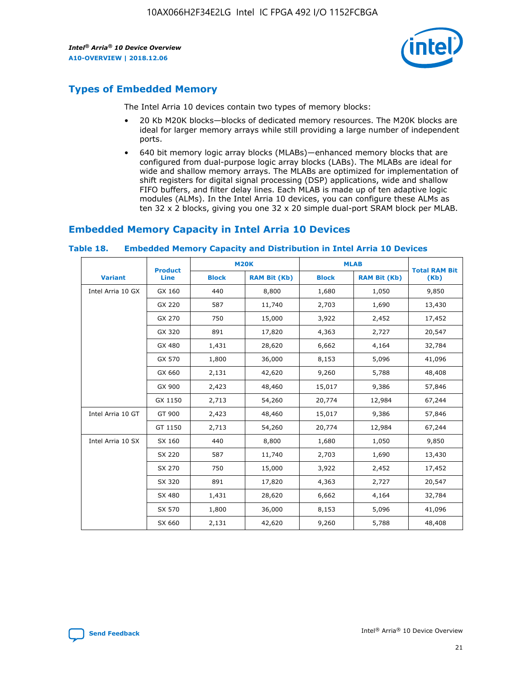![](_page_21_Picture_2.jpeg)

# **Types of Embedded Memory**

The Intel Arria 10 devices contain two types of memory blocks:

- 20 Kb M20K blocks—blocks of dedicated memory resources. The M20K blocks are ideal for larger memory arrays while still providing a large number of independent ports.
- 640 bit memory logic array blocks (MLABs)—enhanced memory blocks that are configured from dual-purpose logic array blocks (LABs). The MLABs are ideal for wide and shallow memory arrays. The MLABs are optimized for implementation of shift registers for digital signal processing (DSP) applications, wide and shallow FIFO buffers, and filter delay lines. Each MLAB is made up of ten adaptive logic modules (ALMs). In the Intel Arria 10 devices, you can configure these ALMs as ten 32 x 2 blocks, giving you one 32 x 20 simple dual-port SRAM block per MLAB.

# **Embedded Memory Capacity in Intel Arria 10 Devices**

|                   | <b>Product</b> | <b>M20K</b>  |                     | <b>MLAB</b>  |                     | <b>Total RAM Bit</b> |
|-------------------|----------------|--------------|---------------------|--------------|---------------------|----------------------|
| <b>Variant</b>    | <b>Line</b>    | <b>Block</b> | <b>RAM Bit (Kb)</b> | <b>Block</b> | <b>RAM Bit (Kb)</b> | (Kb)                 |
| Intel Arria 10 GX | GX 160         | 440          | 8,800               | 1,680        | 1,050               | 9,850                |
|                   | GX 220         | 587          | 11,740              | 2,703        | 1,690               | 13,430               |
|                   | GX 270         | 750          | 15,000              | 3,922        | 2,452               | 17,452               |
|                   | GX 320         | 891          | 17,820              | 4,363        | 2,727               | 20,547               |
|                   | GX 480         | 1,431        | 28,620              | 6,662        | 4,164               | 32,784               |
|                   | GX 570         | 1,800        | 36,000              | 8,153        | 5,096               | 41,096               |
|                   | GX 660         | 2,131        | 42,620              | 9,260        | 5,788               | 48,408               |
|                   | GX 900         | 2,423        | 48,460              | 15,017       | 9,386               | 57,846               |
|                   | GX 1150        | 2,713        | 54,260              | 20,774       | 12,984              | 67,244               |
| Intel Arria 10 GT | GT 900         | 2,423        | 48,460              | 15,017       | 9,386               | 57,846               |
|                   | GT 1150        | 2,713        | 54,260              | 20,774       | 12,984              | 67,244               |
| Intel Arria 10 SX | SX 160         | 440          | 8,800               | 1,680        | 1,050               | 9,850                |
|                   | SX 220         | 587          | 11,740              | 2,703        | 1,690               | 13,430               |
|                   | SX 270         | 750          | 15,000              | 3,922        | 2,452               | 17,452               |
|                   | SX 320         | 891          | 17,820              | 4,363        | 2,727               | 20,547               |
|                   | SX 480         | 1,431        | 28,620              | 6,662        | 4,164               | 32,784               |
|                   | SX 570         | 1,800        | 36,000              | 8,153        | 5,096               | 41,096               |
|                   | SX 660         | 2,131        | 42,620              | 9,260        | 5,788               | 48,408               |

#### **Table 18. Embedded Memory Capacity and Distribution in Intel Arria 10 Devices**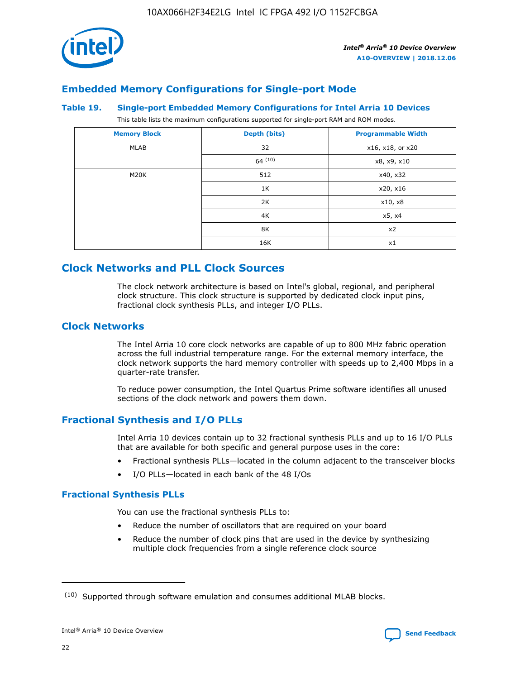![](_page_22_Picture_1.jpeg)

## **Embedded Memory Configurations for Single-port Mode**

#### **Table 19. Single-port Embedded Memory Configurations for Intel Arria 10 Devices**

This table lists the maximum configurations supported for single-port RAM and ROM modes.

| <b>Memory Block</b> | Depth (bits) | <b>Programmable Width</b> |
|---------------------|--------------|---------------------------|
| MLAB                | 32           | x16, x18, or x20          |
|                     | 64(10)       | x8, x9, x10               |
| M20K                | 512          | x40, x32                  |
|                     | 1K           | x20, x16                  |
|                     | 2K           | x10, x8                   |
|                     | 4K           | x5, x4                    |
|                     | 8K           | x2                        |
|                     | 16K          | x1                        |

## **Clock Networks and PLL Clock Sources**

The clock network architecture is based on Intel's global, regional, and peripheral clock structure. This clock structure is supported by dedicated clock input pins, fractional clock synthesis PLLs, and integer I/O PLLs.

## **Clock Networks**

The Intel Arria 10 core clock networks are capable of up to 800 MHz fabric operation across the full industrial temperature range. For the external memory interface, the clock network supports the hard memory controller with speeds up to 2,400 Mbps in a quarter-rate transfer.

To reduce power consumption, the Intel Quartus Prime software identifies all unused sections of the clock network and powers them down.

## **Fractional Synthesis and I/O PLLs**

Intel Arria 10 devices contain up to 32 fractional synthesis PLLs and up to 16 I/O PLLs that are available for both specific and general purpose uses in the core:

- Fractional synthesis PLLs—located in the column adjacent to the transceiver blocks
- I/O PLLs—located in each bank of the 48 I/Os

#### **Fractional Synthesis PLLs**

You can use the fractional synthesis PLLs to:

- Reduce the number of oscillators that are required on your board
- Reduce the number of clock pins that are used in the device by synthesizing multiple clock frequencies from a single reference clock source

<sup>(10)</sup> Supported through software emulation and consumes additional MLAB blocks.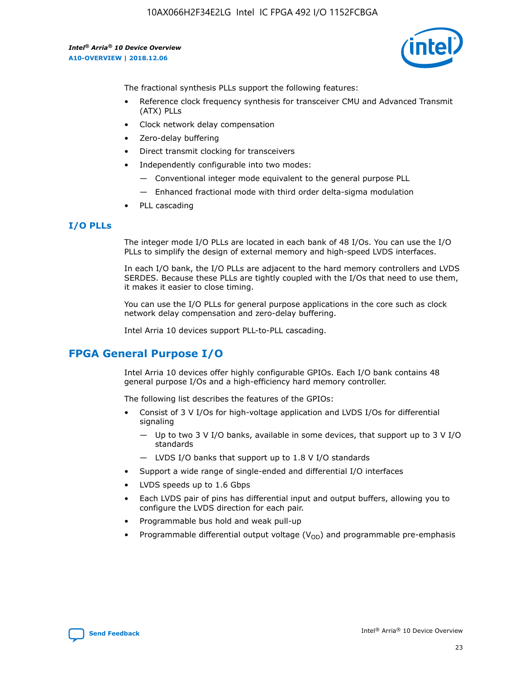10AX066H2F34E2LG Intel IC FPGA 492 I/O 1152FCBGA

*Intel® Arria® 10 Device Overview* **A10-OVERVIEW | 2018.12.06**

![](_page_23_Picture_2.jpeg)

The fractional synthesis PLLs support the following features:

- Reference clock frequency synthesis for transceiver CMU and Advanced Transmit (ATX) PLLs
- Clock network delay compensation
- Zero-delay buffering
- Direct transmit clocking for transceivers
- Independently configurable into two modes:
	- Conventional integer mode equivalent to the general purpose PLL
	- Enhanced fractional mode with third order delta-sigma modulation
- PLL cascading

## **I/O PLLs**

The integer mode I/O PLLs are located in each bank of 48 I/Os. You can use the I/O PLLs to simplify the design of external memory and high-speed LVDS interfaces.

In each I/O bank, the I/O PLLs are adjacent to the hard memory controllers and LVDS SERDES. Because these PLLs are tightly coupled with the I/Os that need to use them, it makes it easier to close timing.

You can use the I/O PLLs for general purpose applications in the core such as clock network delay compensation and zero-delay buffering.

Intel Arria 10 devices support PLL-to-PLL cascading.

# **FPGA General Purpose I/O**

Intel Arria 10 devices offer highly configurable GPIOs. Each I/O bank contains 48 general purpose I/Os and a high-efficiency hard memory controller.

The following list describes the features of the GPIOs:

- Consist of 3 V I/Os for high-voltage application and LVDS I/Os for differential signaling
	- Up to two 3 V I/O banks, available in some devices, that support up to 3 V I/O standards
	- LVDS I/O banks that support up to 1.8 V I/O standards
- Support a wide range of single-ended and differential I/O interfaces
- LVDS speeds up to 1.6 Gbps
- Each LVDS pair of pins has differential input and output buffers, allowing you to configure the LVDS direction for each pair.
- Programmable bus hold and weak pull-up
- Programmable differential output voltage  $(V_{OD})$  and programmable pre-emphasis

![](_page_23_Picture_28.jpeg)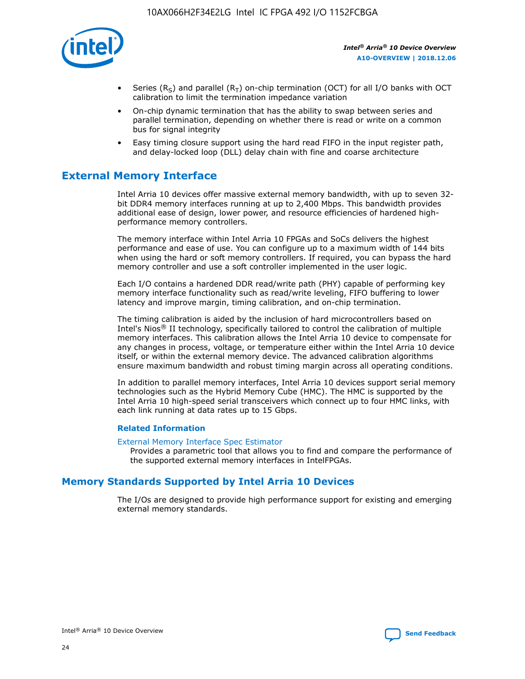![](_page_24_Picture_1.jpeg)

- Series (R<sub>S</sub>) and parallel (R<sub>T</sub>) on-chip termination (OCT) for all I/O banks with OCT calibration to limit the termination impedance variation
- On-chip dynamic termination that has the ability to swap between series and parallel termination, depending on whether there is read or write on a common bus for signal integrity
- Easy timing closure support using the hard read FIFO in the input register path, and delay-locked loop (DLL) delay chain with fine and coarse architecture

# **External Memory Interface**

Intel Arria 10 devices offer massive external memory bandwidth, with up to seven 32 bit DDR4 memory interfaces running at up to 2,400 Mbps. This bandwidth provides additional ease of design, lower power, and resource efficiencies of hardened highperformance memory controllers.

The memory interface within Intel Arria 10 FPGAs and SoCs delivers the highest performance and ease of use. You can configure up to a maximum width of 144 bits when using the hard or soft memory controllers. If required, you can bypass the hard memory controller and use a soft controller implemented in the user logic.

Each I/O contains a hardened DDR read/write path (PHY) capable of performing key memory interface functionality such as read/write leveling, FIFO buffering to lower latency and improve margin, timing calibration, and on-chip termination.

The timing calibration is aided by the inclusion of hard microcontrollers based on Intel's Nios® II technology, specifically tailored to control the calibration of multiple memory interfaces. This calibration allows the Intel Arria 10 device to compensate for any changes in process, voltage, or temperature either within the Intel Arria 10 device itself, or within the external memory device. The advanced calibration algorithms ensure maximum bandwidth and robust timing margin across all operating conditions.

In addition to parallel memory interfaces, Intel Arria 10 devices support serial memory technologies such as the Hybrid Memory Cube (HMC). The HMC is supported by the Intel Arria 10 high-speed serial transceivers which connect up to four HMC links, with each link running at data rates up to 15 Gbps.

#### **Related Information**

#### [External Memory Interface Spec Estimator](http://www.altera.com/technology/memory/estimator/mem-emif-index.html)

Provides a parametric tool that allows you to find and compare the performance of the supported external memory interfaces in IntelFPGAs.

## **Memory Standards Supported by Intel Arria 10 Devices**

The I/Os are designed to provide high performance support for existing and emerging external memory standards.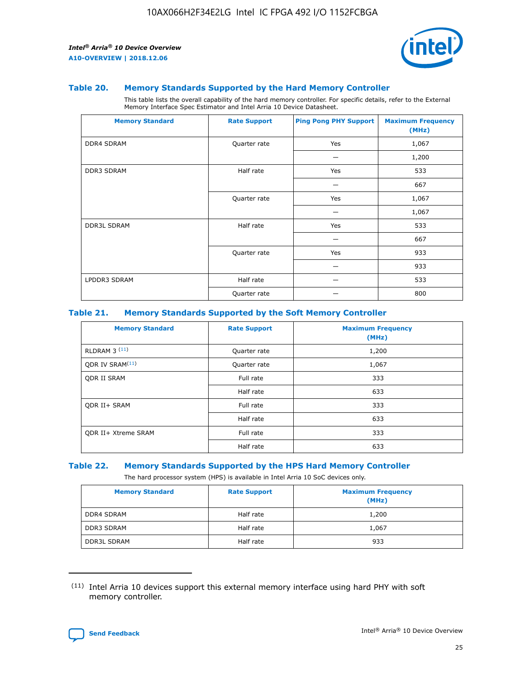![](_page_25_Picture_2.jpeg)

#### **Table 20. Memory Standards Supported by the Hard Memory Controller**

This table lists the overall capability of the hard memory controller. For specific details, refer to the External Memory Interface Spec Estimator and Intel Arria 10 Device Datasheet.

| <b>Memory Standard</b> | <b>Rate Support</b> | <b>Ping Pong PHY Support</b> | <b>Maximum Frequency</b><br>(MHz) |
|------------------------|---------------------|------------------------------|-----------------------------------|
| <b>DDR4 SDRAM</b>      | Quarter rate        | Yes                          | 1,067                             |
|                        |                     |                              | 1,200                             |
| DDR3 SDRAM             | Half rate           | Yes                          | 533                               |
|                        |                     |                              | 667                               |
|                        | Quarter rate        | Yes                          | 1,067                             |
|                        |                     |                              | 1,067                             |
| <b>DDR3L SDRAM</b>     | Half rate           | Yes                          | 533                               |
|                        |                     |                              | 667                               |
|                        | Quarter rate        | Yes                          | 933                               |
|                        |                     |                              | 933                               |
| LPDDR3 SDRAM           | Half rate           |                              | 533                               |
|                        | Quarter rate        |                              | 800                               |

#### **Table 21. Memory Standards Supported by the Soft Memory Controller**

| <b>Memory Standard</b>      | <b>Rate Support</b> | <b>Maximum Frequency</b><br>(MHz) |
|-----------------------------|---------------------|-----------------------------------|
| <b>RLDRAM 3 (11)</b>        | Quarter rate        | 1,200                             |
| ODR IV SRAM <sup>(11)</sup> | Quarter rate        | 1,067                             |
| <b>ODR II SRAM</b>          | Full rate           | 333                               |
|                             | Half rate           | 633                               |
| <b>ODR II+ SRAM</b>         | Full rate           | 333                               |
|                             | Half rate           | 633                               |
| <b>ODR II+ Xtreme SRAM</b>  | Full rate           | 333                               |
|                             | Half rate           | 633                               |

#### **Table 22. Memory Standards Supported by the HPS Hard Memory Controller**

The hard processor system (HPS) is available in Intel Arria 10 SoC devices only.

| <b>Memory Standard</b> | <b>Rate Support</b> | <b>Maximum Frequency</b><br>(MHz) |
|------------------------|---------------------|-----------------------------------|
| <b>DDR4 SDRAM</b>      | Half rate           | 1,200                             |
| DDR3 SDRAM             | Half rate           | 1,067                             |
| <b>DDR3L SDRAM</b>     | Half rate           | 933                               |

<sup>(11)</sup> Intel Arria 10 devices support this external memory interface using hard PHY with soft memory controller.

![](_page_25_Picture_12.jpeg)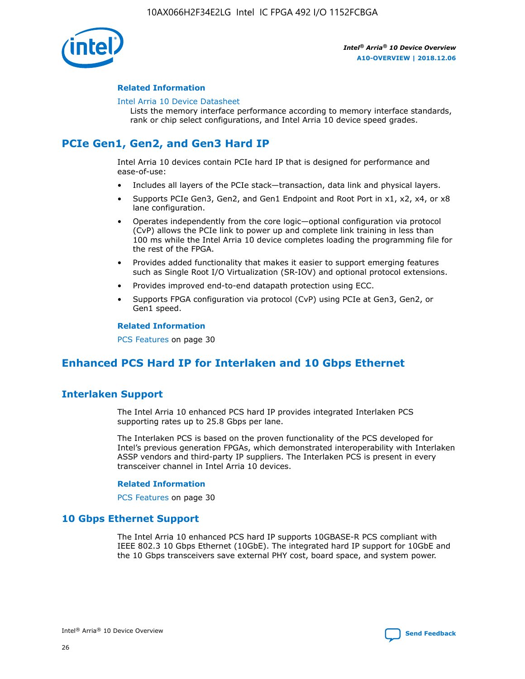![](_page_26_Picture_1.jpeg)

#### **Related Information**

#### [Intel Arria 10 Device Datasheet](https://www.intel.com/content/www/us/en/programmable/documentation/mcn1413182292568.html#mcn1413182153340)

Lists the memory interface performance according to memory interface standards, rank or chip select configurations, and Intel Arria 10 device speed grades.

# **PCIe Gen1, Gen2, and Gen3 Hard IP**

Intel Arria 10 devices contain PCIe hard IP that is designed for performance and ease-of-use:

- Includes all layers of the PCIe stack—transaction, data link and physical layers.
- Supports PCIe Gen3, Gen2, and Gen1 Endpoint and Root Port in x1, x2, x4, or x8 lane configuration.
- Operates independently from the core logic—optional configuration via protocol (CvP) allows the PCIe link to power up and complete link training in less than 100 ms while the Intel Arria 10 device completes loading the programming file for the rest of the FPGA.
- Provides added functionality that makes it easier to support emerging features such as Single Root I/O Virtualization (SR-IOV) and optional protocol extensions.
- Provides improved end-to-end datapath protection using ECC.
- Supports FPGA configuration via protocol (CvP) using PCIe at Gen3, Gen2, or Gen1 speed.

#### **Related Information**

PCS Features on page 30

# **Enhanced PCS Hard IP for Interlaken and 10 Gbps Ethernet**

## **Interlaken Support**

The Intel Arria 10 enhanced PCS hard IP provides integrated Interlaken PCS supporting rates up to 25.8 Gbps per lane.

The Interlaken PCS is based on the proven functionality of the PCS developed for Intel's previous generation FPGAs, which demonstrated interoperability with Interlaken ASSP vendors and third-party IP suppliers. The Interlaken PCS is present in every transceiver channel in Intel Arria 10 devices.

#### **Related Information**

PCS Features on page 30

## **10 Gbps Ethernet Support**

The Intel Arria 10 enhanced PCS hard IP supports 10GBASE-R PCS compliant with IEEE 802.3 10 Gbps Ethernet (10GbE). The integrated hard IP support for 10GbE and the 10 Gbps transceivers save external PHY cost, board space, and system power.

![](_page_26_Picture_24.jpeg)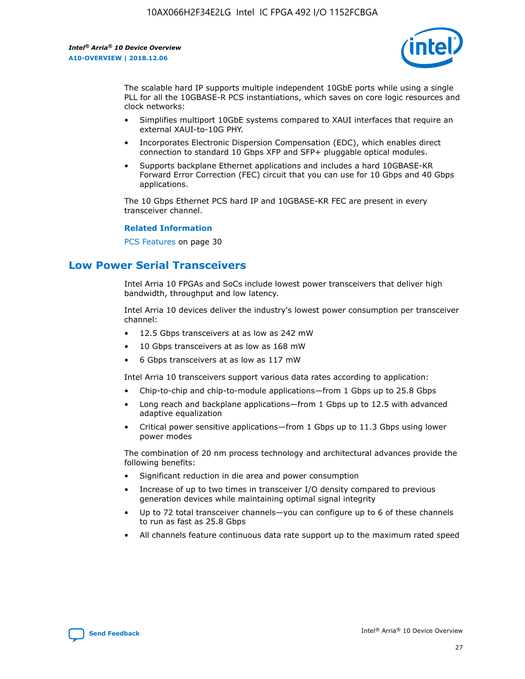![](_page_27_Picture_2.jpeg)

The scalable hard IP supports multiple independent 10GbE ports while using a single PLL for all the 10GBASE-R PCS instantiations, which saves on core logic resources and clock networks:

- Simplifies multiport 10GbE systems compared to XAUI interfaces that require an external XAUI-to-10G PHY.
- Incorporates Electronic Dispersion Compensation (EDC), which enables direct connection to standard 10 Gbps XFP and SFP+ pluggable optical modules.
- Supports backplane Ethernet applications and includes a hard 10GBASE-KR Forward Error Correction (FEC) circuit that you can use for 10 Gbps and 40 Gbps applications.

The 10 Gbps Ethernet PCS hard IP and 10GBASE-KR FEC are present in every transceiver channel.

#### **Related Information**

PCS Features on page 30

# **Low Power Serial Transceivers**

Intel Arria 10 FPGAs and SoCs include lowest power transceivers that deliver high bandwidth, throughput and low latency.

Intel Arria 10 devices deliver the industry's lowest power consumption per transceiver channel:

- 12.5 Gbps transceivers at as low as 242 mW
- 10 Gbps transceivers at as low as 168 mW
- 6 Gbps transceivers at as low as 117 mW

Intel Arria 10 transceivers support various data rates according to application:

- Chip-to-chip and chip-to-module applications—from 1 Gbps up to 25.8 Gbps
- Long reach and backplane applications—from 1 Gbps up to 12.5 with advanced adaptive equalization
- Critical power sensitive applications—from 1 Gbps up to 11.3 Gbps using lower power modes

The combination of 20 nm process technology and architectural advances provide the following benefits:

- Significant reduction in die area and power consumption
- Increase of up to two times in transceiver I/O density compared to previous generation devices while maintaining optimal signal integrity
- Up to 72 total transceiver channels—you can configure up to 6 of these channels to run as fast as 25.8 Gbps
- All channels feature continuous data rate support up to the maximum rated speed

![](_page_27_Picture_25.jpeg)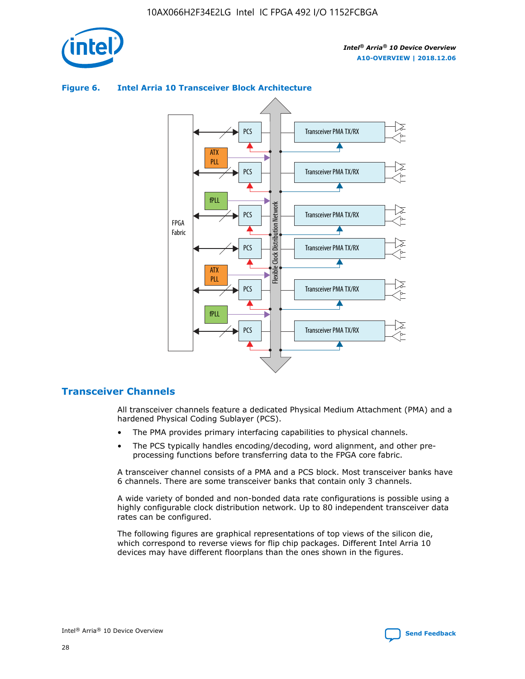![](_page_28_Picture_1.jpeg)

![](_page_28_Figure_3.jpeg)

## **Figure 6. Intel Arria 10 Transceiver Block Architecture**

## **Transceiver Channels**

All transceiver channels feature a dedicated Physical Medium Attachment (PMA) and a hardened Physical Coding Sublayer (PCS).

- The PMA provides primary interfacing capabilities to physical channels.
- The PCS typically handles encoding/decoding, word alignment, and other preprocessing functions before transferring data to the FPGA core fabric.

A transceiver channel consists of a PMA and a PCS block. Most transceiver banks have 6 channels. There are some transceiver banks that contain only 3 channels.

A wide variety of bonded and non-bonded data rate configurations is possible using a highly configurable clock distribution network. Up to 80 independent transceiver data rates can be configured.

The following figures are graphical representations of top views of the silicon die, which correspond to reverse views for flip chip packages. Different Intel Arria 10 devices may have different floorplans than the ones shown in the figures.

![](_page_28_Picture_12.jpeg)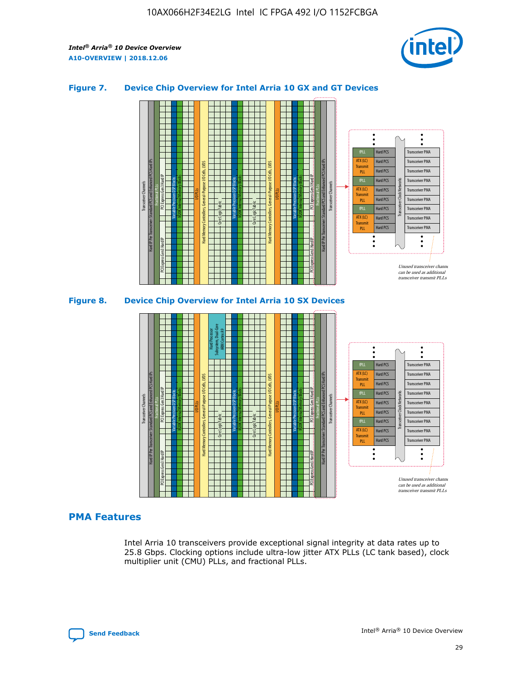![](_page_29_Picture_2.jpeg)

## **Figure 7. Device Chip Overview for Intel Arria 10 GX and GT Devices**

![](_page_29_Figure_4.jpeg)

![](_page_29_Figure_5.jpeg)

## **PMA Features**

Intel Arria 10 transceivers provide exceptional signal integrity at data rates up to 25.8 Gbps. Clocking options include ultra-low jitter ATX PLLs (LC tank based), clock multiplier unit (CMU) PLLs, and fractional PLLs.

![](_page_29_Picture_8.jpeg)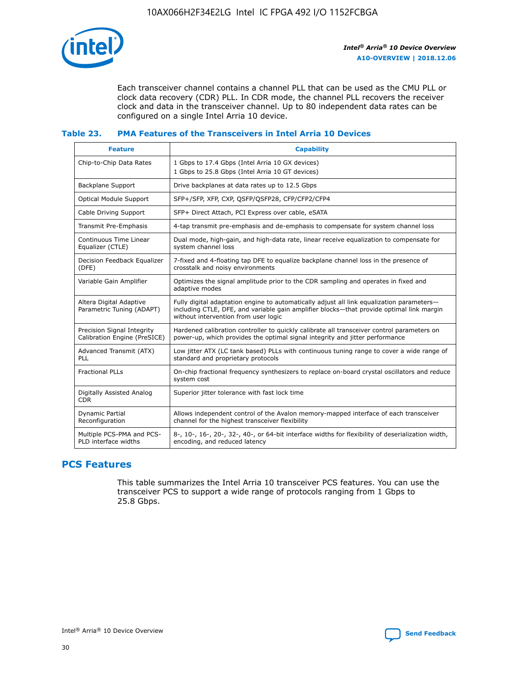![](_page_30_Picture_1.jpeg)

Each transceiver channel contains a channel PLL that can be used as the CMU PLL or clock data recovery (CDR) PLL. In CDR mode, the channel PLL recovers the receiver clock and data in the transceiver channel. Up to 80 independent data rates can be configured on a single Intel Arria 10 device.

## **Table 23. PMA Features of the Transceivers in Intel Arria 10 Devices**

| <b>Feature</b>                                             | <b>Capability</b>                                                                                                                                                                                                             |
|------------------------------------------------------------|-------------------------------------------------------------------------------------------------------------------------------------------------------------------------------------------------------------------------------|
| Chip-to-Chip Data Rates                                    | 1 Gbps to 17.4 Gbps (Intel Arria 10 GX devices)<br>1 Gbps to 25.8 Gbps (Intel Arria 10 GT devices)                                                                                                                            |
| Backplane Support                                          | Drive backplanes at data rates up to 12.5 Gbps                                                                                                                                                                                |
| <b>Optical Module Support</b>                              | SFP+/SFP, XFP, CXP, QSFP/QSFP28, CFP/CFP2/CFP4                                                                                                                                                                                |
| Cable Driving Support                                      | SFP+ Direct Attach, PCI Express over cable, eSATA                                                                                                                                                                             |
| Transmit Pre-Emphasis                                      | 4-tap transmit pre-emphasis and de-emphasis to compensate for system channel loss                                                                                                                                             |
| Continuous Time Linear<br>Equalizer (CTLE)                 | Dual mode, high-gain, and high-data rate, linear receive equalization to compensate for<br>system channel loss                                                                                                                |
| Decision Feedback Equalizer<br>(DFE)                       | 7-fixed and 4-floating tap DFE to equalize backplane channel loss in the presence of<br>crosstalk and noisy environments                                                                                                      |
| Variable Gain Amplifier                                    | Optimizes the signal amplitude prior to the CDR sampling and operates in fixed and<br>adaptive modes                                                                                                                          |
| Altera Digital Adaptive<br>Parametric Tuning (ADAPT)       | Fully digital adaptation engine to automatically adjust all link equalization parameters-<br>including CTLE, DFE, and variable gain amplifier blocks—that provide optimal link margin<br>without intervention from user logic |
| Precision Signal Integrity<br>Calibration Engine (PreSICE) | Hardened calibration controller to quickly calibrate all transceiver control parameters on<br>power-up, which provides the optimal signal integrity and jitter performance                                                    |
| Advanced Transmit (ATX)<br>PLL                             | Low jitter ATX (LC tank based) PLLs with continuous tuning range to cover a wide range of<br>standard and proprietary protocols                                                                                               |
| <b>Fractional PLLs</b>                                     | On-chip fractional frequency synthesizers to replace on-board crystal oscillators and reduce<br>system cost                                                                                                                   |
| Digitally Assisted Analog<br><b>CDR</b>                    | Superior jitter tolerance with fast lock time                                                                                                                                                                                 |
| Dynamic Partial<br>Reconfiguration                         | Allows independent control of the Avalon memory-mapped interface of each transceiver<br>channel for the highest transceiver flexibility                                                                                       |
| Multiple PCS-PMA and PCS-<br>PLD interface widths          | 8-, 10-, 16-, 20-, 32-, 40-, or 64-bit interface widths for flexibility of deserialization width,<br>encoding, and reduced latency                                                                                            |

## **PCS Features**

This table summarizes the Intel Arria 10 transceiver PCS features. You can use the transceiver PCS to support a wide range of protocols ranging from 1 Gbps to 25.8 Gbps.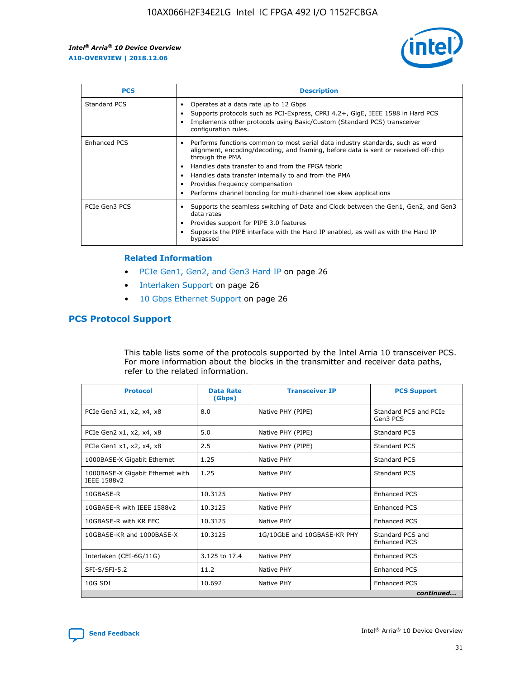![](_page_31_Picture_2.jpeg)

| <b>PCS</b>    | <b>Description</b>                                                                                                                                                                                                                                                                                                                                                                                             |
|---------------|----------------------------------------------------------------------------------------------------------------------------------------------------------------------------------------------------------------------------------------------------------------------------------------------------------------------------------------------------------------------------------------------------------------|
| Standard PCS  | Operates at a data rate up to 12 Gbps<br>Supports protocols such as PCI-Express, CPRI 4.2+, GigE, IEEE 1588 in Hard PCS<br>Implements other protocols using Basic/Custom (Standard PCS) transceiver<br>configuration rules.                                                                                                                                                                                    |
| Enhanced PCS  | Performs functions common to most serial data industry standards, such as word<br>alignment, encoding/decoding, and framing, before data is sent or received off-chip<br>through the PMA<br>• Handles data transfer to and from the FPGA fabric<br>Handles data transfer internally to and from the PMA<br>Provides frequency compensation<br>Performs channel bonding for multi-channel low skew applications |
| PCIe Gen3 PCS | Supports the seamless switching of Data and Clock between the Gen1, Gen2, and Gen3<br>data rates<br>Provides support for PIPE 3.0 features<br>Supports the PIPE interface with the Hard IP enabled, as well as with the Hard IP<br>bypassed                                                                                                                                                                    |

#### **Related Information**

- PCIe Gen1, Gen2, and Gen3 Hard IP on page 26
- Interlaken Support on page 26
- 10 Gbps Ethernet Support on page 26

## **PCS Protocol Support**

This table lists some of the protocols supported by the Intel Arria 10 transceiver PCS. For more information about the blocks in the transmitter and receiver data paths, refer to the related information.

| <b>Protocol</b>                                 | <b>Data Rate</b><br>(Gbps) | <b>Transceiver IP</b>       | <b>PCS Support</b>                      |
|-------------------------------------------------|----------------------------|-----------------------------|-----------------------------------------|
| PCIe Gen3 x1, x2, x4, x8                        | 8.0                        | Native PHY (PIPE)           | Standard PCS and PCIe<br>Gen3 PCS       |
| PCIe Gen2 x1, x2, x4, x8                        | 5.0                        | Native PHY (PIPE)           | <b>Standard PCS</b>                     |
| PCIe Gen1 x1, x2, x4, x8                        | 2.5                        | Native PHY (PIPE)           | Standard PCS                            |
| 1000BASE-X Gigabit Ethernet                     | 1.25                       | Native PHY                  | <b>Standard PCS</b>                     |
| 1000BASE-X Gigabit Ethernet with<br>IEEE 1588v2 | 1.25                       | Native PHY                  | Standard PCS                            |
| 10GBASE-R                                       | 10.3125                    | Native PHY                  | <b>Enhanced PCS</b>                     |
| 10GBASE-R with IEEE 1588v2                      | 10.3125                    | Native PHY                  | <b>Enhanced PCS</b>                     |
| 10GBASE-R with KR FEC                           | 10.3125                    | Native PHY                  | <b>Enhanced PCS</b>                     |
| 10GBASE-KR and 1000BASE-X                       | 10.3125                    | 1G/10GbE and 10GBASE-KR PHY | Standard PCS and<br><b>Enhanced PCS</b> |
| Interlaken (CEI-6G/11G)                         | 3.125 to 17.4              | Native PHY                  | <b>Enhanced PCS</b>                     |
| SFI-S/SFI-5.2                                   | 11.2                       | Native PHY                  | <b>Enhanced PCS</b>                     |
| $10G$ SDI                                       | 10.692                     | Native PHY                  | <b>Enhanced PCS</b>                     |
|                                                 |                            |                             | continued                               |

![](_page_31_Picture_11.jpeg)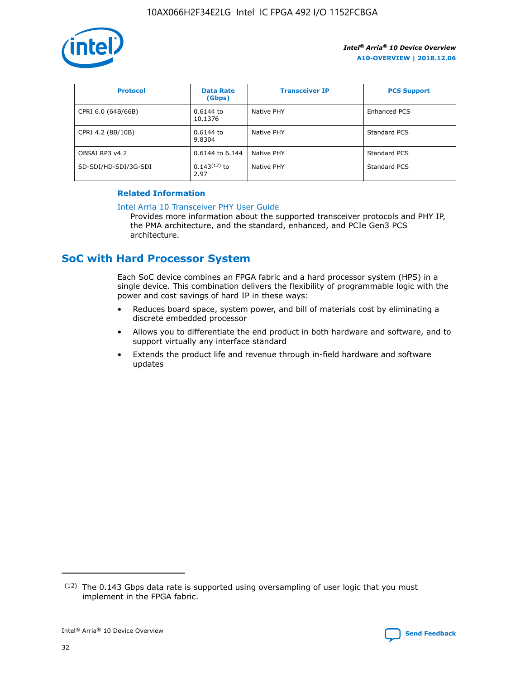![](_page_32_Picture_1.jpeg)

| <b>Protocol</b>      | <b>Data Rate</b><br>(Gbps) | <b>Transceiver IP</b> | <b>PCS Support</b> |
|----------------------|----------------------------|-----------------------|--------------------|
| CPRI 6.0 (64B/66B)   | 0.6144 to<br>10.1376       | Native PHY            | Enhanced PCS       |
| CPRI 4.2 (8B/10B)    | $0.6144$ to<br>9.8304      | Native PHY            | Standard PCS       |
| OBSAI RP3 v4.2       | 0.6144 to 6.144            | Native PHY            | Standard PCS       |
| SD-SDI/HD-SDI/3G-SDI | $0.143(12)$ to<br>2.97     | Native PHY            | Standard PCS       |

## **Related Information**

#### [Intel Arria 10 Transceiver PHY User Guide](https://www.intel.com/content/www/us/en/programmable/documentation/nik1398707230472.html#nik1398707091164)

Provides more information about the supported transceiver protocols and PHY IP, the PMA architecture, and the standard, enhanced, and PCIe Gen3 PCS architecture.

# **SoC with Hard Processor System**

Each SoC device combines an FPGA fabric and a hard processor system (HPS) in a single device. This combination delivers the flexibility of programmable logic with the power and cost savings of hard IP in these ways:

- Reduces board space, system power, and bill of materials cost by eliminating a discrete embedded processor
- Allows you to differentiate the end product in both hardware and software, and to support virtually any interface standard
- Extends the product life and revenue through in-field hardware and software updates

 $(12)$  The 0.143 Gbps data rate is supported using oversampling of user logic that you must implement in the FPGA fabric.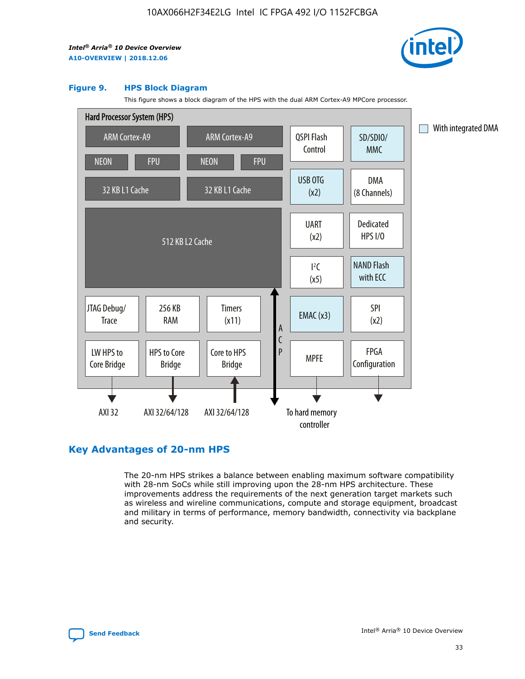![](_page_33_Picture_2.jpeg)

#### **Figure 9. HPS Block Diagram**

This figure shows a block diagram of the HPS with the dual ARM Cortex-A9 MPCore processor.

![](_page_33_Figure_5.jpeg)

## **Key Advantages of 20-nm HPS**

The 20-nm HPS strikes a balance between enabling maximum software compatibility with 28-nm SoCs while still improving upon the 28-nm HPS architecture. These improvements address the requirements of the next generation target markets such as wireless and wireline communications, compute and storage equipment, broadcast and military in terms of performance, memory bandwidth, connectivity via backplane and security.

![](_page_33_Picture_8.jpeg)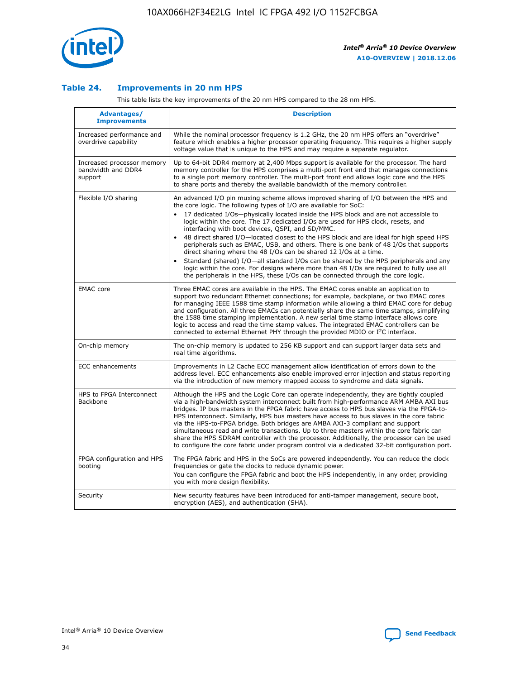![](_page_34_Picture_1.jpeg)

## **Table 24. Improvements in 20 nm HPS**

This table lists the key improvements of the 20 nm HPS compared to the 28 nm HPS.

| Advantages/<br><b>Improvements</b>                          | <b>Description</b>                                                                                                                                                                                                                                                                                                                                                                                                                                                                                                                                                                                                                                                                                                                                                                                                                                                                                                      |
|-------------------------------------------------------------|-------------------------------------------------------------------------------------------------------------------------------------------------------------------------------------------------------------------------------------------------------------------------------------------------------------------------------------------------------------------------------------------------------------------------------------------------------------------------------------------------------------------------------------------------------------------------------------------------------------------------------------------------------------------------------------------------------------------------------------------------------------------------------------------------------------------------------------------------------------------------------------------------------------------------|
| Increased performance and<br>overdrive capability           | While the nominal processor frequency is 1.2 GHz, the 20 nm HPS offers an "overdrive"<br>feature which enables a higher processor operating frequency. This requires a higher supply<br>voltage value that is unique to the HPS and may require a separate regulator.                                                                                                                                                                                                                                                                                                                                                                                                                                                                                                                                                                                                                                                   |
| Increased processor memory<br>bandwidth and DDR4<br>support | Up to 64-bit DDR4 memory at 2,400 Mbps support is available for the processor. The hard<br>memory controller for the HPS comprises a multi-port front end that manages connections<br>to a single port memory controller. The multi-port front end allows logic core and the HPS<br>to share ports and thereby the available bandwidth of the memory controller.                                                                                                                                                                                                                                                                                                                                                                                                                                                                                                                                                        |
| Flexible I/O sharing                                        | An advanced I/O pin muxing scheme allows improved sharing of I/O between the HPS and<br>the core logic. The following types of I/O are available for SoC:<br>17 dedicated I/Os-physically located inside the HPS block and are not accessible to<br>logic within the core. The 17 dedicated I/Os are used for HPS clock, resets, and<br>interfacing with boot devices, QSPI, and SD/MMC.<br>48 direct shared I/O-located closest to the HPS block and are ideal for high speed HPS<br>peripherals such as EMAC, USB, and others. There is one bank of 48 I/Os that supports<br>direct sharing where the 48 I/Os can be shared 12 I/Os at a time.<br>Standard (shared) I/O-all standard I/Os can be shared by the HPS peripherals and any<br>logic within the core. For designs where more than 48 I/Os are reguired to fully use all<br>the peripherals in the HPS, these I/Os can be connected through the core logic. |
| <b>EMAC</b> core                                            | Three EMAC cores are available in the HPS. The EMAC cores enable an application to<br>support two redundant Ethernet connections; for example, backplane, or two EMAC cores<br>for managing IEEE 1588 time stamp information while allowing a third EMAC core for debug<br>and configuration. All three EMACs can potentially share the same time stamps, simplifying<br>the 1588 time stamping implementation. A new serial time stamp interface allows core<br>logic to access and read the time stamp values. The integrated EMAC controllers can be<br>connected to external Ethernet PHY through the provided MDIO or I <sup>2</sup> C interface.                                                                                                                                                                                                                                                                  |
| On-chip memory                                              | The on-chip memory is updated to 256 KB support and can support larger data sets and<br>real time algorithms.                                                                                                                                                                                                                                                                                                                                                                                                                                                                                                                                                                                                                                                                                                                                                                                                           |
| <b>ECC</b> enhancements                                     | Improvements in L2 Cache ECC management allow identification of errors down to the<br>address level. ECC enhancements also enable improved error injection and status reporting<br>via the introduction of new memory mapped access to syndrome and data signals.                                                                                                                                                                                                                                                                                                                                                                                                                                                                                                                                                                                                                                                       |
| HPS to FPGA Interconnect<br>Backbone                        | Although the HPS and the Logic Core can operate independently, they are tightly coupled<br>via a high-bandwidth system interconnect built from high-performance ARM AMBA AXI bus<br>bridges. IP bus masters in the FPGA fabric have access to HPS bus slaves via the FPGA-to-<br>HPS interconnect. Similarly, HPS bus masters have access to bus slaves in the core fabric<br>via the HPS-to-FPGA bridge. Both bridges are AMBA AXI-3 compliant and support<br>simultaneous read and write transactions. Up to three masters within the core fabric can<br>share the HPS SDRAM controller with the processor. Additionally, the processor can be used<br>to configure the core fabric under program control via a dedicated 32-bit configuration port.                                                                                                                                                                  |
| FPGA configuration and HPS<br>booting                       | The FPGA fabric and HPS in the SoCs are powered independently. You can reduce the clock<br>frequencies or gate the clocks to reduce dynamic power.<br>You can configure the FPGA fabric and boot the HPS independently, in any order, providing<br>you with more design flexibility.                                                                                                                                                                                                                                                                                                                                                                                                                                                                                                                                                                                                                                    |
| Security                                                    | New security features have been introduced for anti-tamper management, secure boot,<br>encryption (AES), and authentication (SHA).                                                                                                                                                                                                                                                                                                                                                                                                                                                                                                                                                                                                                                                                                                                                                                                      |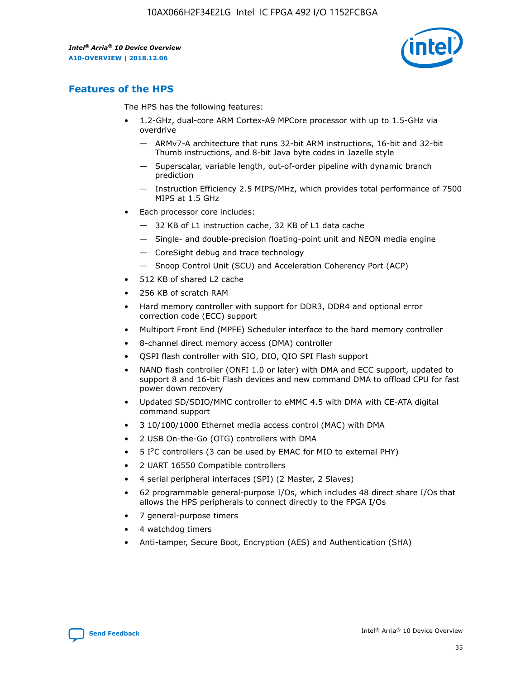![](_page_35_Picture_2.jpeg)

## **Features of the HPS**

The HPS has the following features:

- 1.2-GHz, dual-core ARM Cortex-A9 MPCore processor with up to 1.5-GHz via overdrive
	- ARMv7-A architecture that runs 32-bit ARM instructions, 16-bit and 32-bit Thumb instructions, and 8-bit Java byte codes in Jazelle style
	- Superscalar, variable length, out-of-order pipeline with dynamic branch prediction
	- Instruction Efficiency 2.5 MIPS/MHz, which provides total performance of 7500 MIPS at 1.5 GHz
- Each processor core includes:
	- 32 KB of L1 instruction cache, 32 KB of L1 data cache
	- Single- and double-precision floating-point unit and NEON media engine
	- CoreSight debug and trace technology
	- Snoop Control Unit (SCU) and Acceleration Coherency Port (ACP)
- 512 KB of shared L2 cache
- 256 KB of scratch RAM
- Hard memory controller with support for DDR3, DDR4 and optional error correction code (ECC) support
- Multiport Front End (MPFE) Scheduler interface to the hard memory controller
- 8-channel direct memory access (DMA) controller
- QSPI flash controller with SIO, DIO, QIO SPI Flash support
- NAND flash controller (ONFI 1.0 or later) with DMA and ECC support, updated to support 8 and 16-bit Flash devices and new command DMA to offload CPU for fast power down recovery
- Updated SD/SDIO/MMC controller to eMMC 4.5 with DMA with CE-ATA digital command support
- 3 10/100/1000 Ethernet media access control (MAC) with DMA
- 2 USB On-the-Go (OTG) controllers with DMA
- $\bullet$  5 I<sup>2</sup>C controllers (3 can be used by EMAC for MIO to external PHY)
- 2 UART 16550 Compatible controllers
- 4 serial peripheral interfaces (SPI) (2 Master, 2 Slaves)
- 62 programmable general-purpose I/Os, which includes 48 direct share I/Os that allows the HPS peripherals to connect directly to the FPGA I/Os
- 7 general-purpose timers
- 4 watchdog timers
- Anti-tamper, Secure Boot, Encryption (AES) and Authentication (SHA)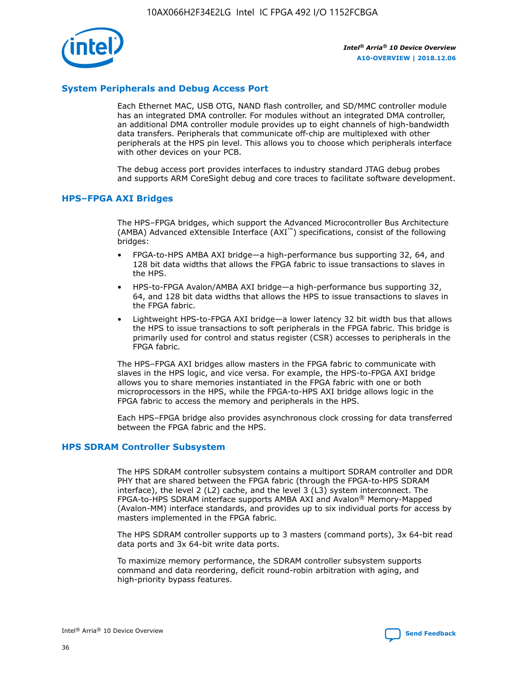![](_page_36_Picture_1.jpeg)

## **System Peripherals and Debug Access Port**

Each Ethernet MAC, USB OTG, NAND flash controller, and SD/MMC controller module has an integrated DMA controller. For modules without an integrated DMA controller, an additional DMA controller module provides up to eight channels of high-bandwidth data transfers. Peripherals that communicate off-chip are multiplexed with other peripherals at the HPS pin level. This allows you to choose which peripherals interface with other devices on your PCB.

The debug access port provides interfaces to industry standard JTAG debug probes and supports ARM CoreSight debug and core traces to facilitate software development.

## **HPS–FPGA AXI Bridges**

The HPS–FPGA bridges, which support the Advanced Microcontroller Bus Architecture (AMBA) Advanced eXtensible Interface (AXI™) specifications, consist of the following bridges:

- FPGA-to-HPS AMBA AXI bridge—a high-performance bus supporting 32, 64, and 128 bit data widths that allows the FPGA fabric to issue transactions to slaves in the HPS.
- HPS-to-FPGA Avalon/AMBA AXI bridge—a high-performance bus supporting 32, 64, and 128 bit data widths that allows the HPS to issue transactions to slaves in the FPGA fabric.
- Lightweight HPS-to-FPGA AXI bridge—a lower latency 32 bit width bus that allows the HPS to issue transactions to soft peripherals in the FPGA fabric. This bridge is primarily used for control and status register (CSR) accesses to peripherals in the FPGA fabric.

The HPS–FPGA AXI bridges allow masters in the FPGA fabric to communicate with slaves in the HPS logic, and vice versa. For example, the HPS-to-FPGA AXI bridge allows you to share memories instantiated in the FPGA fabric with one or both microprocessors in the HPS, while the FPGA-to-HPS AXI bridge allows logic in the FPGA fabric to access the memory and peripherals in the HPS.

Each HPS–FPGA bridge also provides asynchronous clock crossing for data transferred between the FPGA fabric and the HPS.

#### **HPS SDRAM Controller Subsystem**

The HPS SDRAM controller subsystem contains a multiport SDRAM controller and DDR PHY that are shared between the FPGA fabric (through the FPGA-to-HPS SDRAM interface), the level 2 (L2) cache, and the level 3 (L3) system interconnect. The FPGA-to-HPS SDRAM interface supports AMBA AXI and Avalon® Memory-Mapped (Avalon-MM) interface standards, and provides up to six individual ports for access by masters implemented in the FPGA fabric.

The HPS SDRAM controller supports up to 3 masters (command ports), 3x 64-bit read data ports and 3x 64-bit write data ports.

To maximize memory performance, the SDRAM controller subsystem supports command and data reordering, deficit round-robin arbitration with aging, and high-priority bypass features.

![](_page_36_Picture_19.jpeg)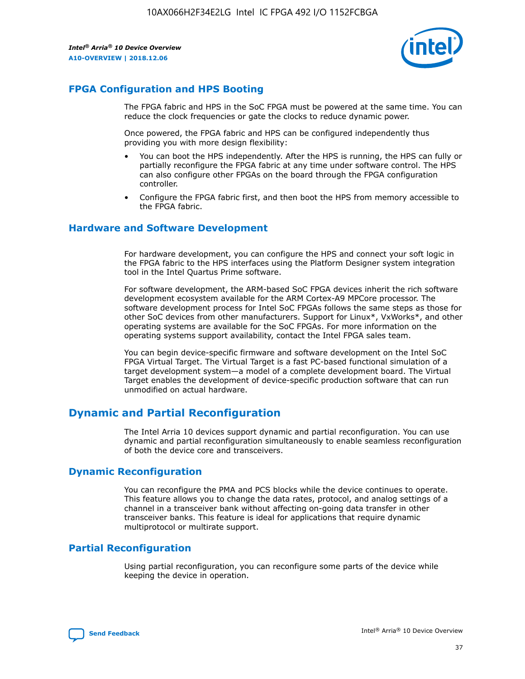![](_page_37_Picture_2.jpeg)

## **FPGA Configuration and HPS Booting**

The FPGA fabric and HPS in the SoC FPGA must be powered at the same time. You can reduce the clock frequencies or gate the clocks to reduce dynamic power.

Once powered, the FPGA fabric and HPS can be configured independently thus providing you with more design flexibility:

- You can boot the HPS independently. After the HPS is running, the HPS can fully or partially reconfigure the FPGA fabric at any time under software control. The HPS can also configure other FPGAs on the board through the FPGA configuration controller.
- Configure the FPGA fabric first, and then boot the HPS from memory accessible to the FPGA fabric.

## **Hardware and Software Development**

For hardware development, you can configure the HPS and connect your soft logic in the FPGA fabric to the HPS interfaces using the Platform Designer system integration tool in the Intel Quartus Prime software.

For software development, the ARM-based SoC FPGA devices inherit the rich software development ecosystem available for the ARM Cortex-A9 MPCore processor. The software development process for Intel SoC FPGAs follows the same steps as those for other SoC devices from other manufacturers. Support for Linux\*, VxWorks\*, and other operating systems are available for the SoC FPGAs. For more information on the operating systems support availability, contact the Intel FPGA sales team.

You can begin device-specific firmware and software development on the Intel SoC FPGA Virtual Target. The Virtual Target is a fast PC-based functional simulation of a target development system—a model of a complete development board. The Virtual Target enables the development of device-specific production software that can run unmodified on actual hardware.

## **Dynamic and Partial Reconfiguration**

The Intel Arria 10 devices support dynamic and partial reconfiguration. You can use dynamic and partial reconfiguration simultaneously to enable seamless reconfiguration of both the device core and transceivers.

## **Dynamic Reconfiguration**

You can reconfigure the PMA and PCS blocks while the device continues to operate. This feature allows you to change the data rates, protocol, and analog settings of a channel in a transceiver bank without affecting on-going data transfer in other transceiver banks. This feature is ideal for applications that require dynamic multiprotocol or multirate support.

## **Partial Reconfiguration**

Using partial reconfiguration, you can reconfigure some parts of the device while keeping the device in operation.

![](_page_37_Picture_18.jpeg)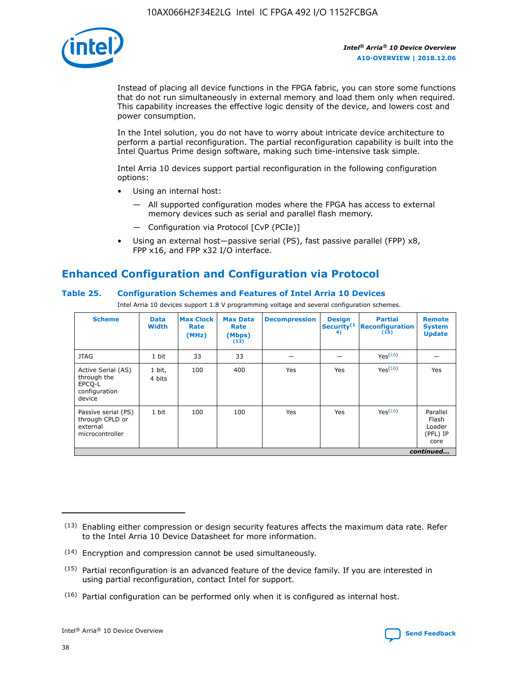![](_page_38_Picture_1.jpeg)

Instead of placing all device functions in the FPGA fabric, you can store some functions that do not run simultaneously in external memory and load them only when required. This capability increases the effective logic density of the device, and lowers cost and power consumption.

In the Intel solution, you do not have to worry about intricate device architecture to perform a partial reconfiguration. The partial reconfiguration capability is built into the Intel Quartus Prime design software, making such time-intensive task simple.

Intel Arria 10 devices support partial reconfiguration in the following configuration options:

- Using an internal host:
	- All supported configuration modes where the FPGA has access to external memory devices such as serial and parallel flash memory.
	- Configuration via Protocol [CvP (PCIe)]
- Using an external host—passive serial (PS), fast passive parallel (FPP) x8, FPP x16, and FPP x32 I/O interface.

# **Enhanced Configuration and Configuration via Protocol**

## **Table 25. Configuration Schemes and Features of Intel Arria 10 Devices**

Intel Arria 10 devices support 1.8 V programming voltage and several configuration schemes.

| <b>Scheme</b>                                                          | <b>Data</b><br><b>Width</b> | <b>Max Clock</b><br>Rate<br>(MHz) | <b>Max Data</b><br>Rate<br>(Mbps)<br>(13) | <b>Decompression</b> | <b>Design</b><br>Security <sup>(1</sup><br>4) | <b>Partial</b><br>Reconfiguration<br>(15) | <b>Remote</b><br><b>System</b><br><b>Update</b> |
|------------------------------------------------------------------------|-----------------------------|-----------------------------------|-------------------------------------------|----------------------|-----------------------------------------------|-------------------------------------------|-------------------------------------------------|
| <b>JTAG</b>                                                            | 1 bit                       | 33                                | 33                                        |                      |                                               | Yes <sup>(16)</sup>                       |                                                 |
| Active Serial (AS)<br>through the<br>EPCO-L<br>configuration<br>device | 1 bit,<br>4 bits            | 100                               | 400                                       | Yes                  | Yes                                           | $Y_{PS}(16)$                              | Yes                                             |
| Passive serial (PS)<br>through CPLD or<br>external<br>microcontroller  | 1 bit                       | 100                               | 100                                       | Yes                  | Yes                                           | Yes(16)                                   | Parallel<br>Flash<br>Loader<br>(PFL) IP<br>core |
|                                                                        | continued                   |                                   |                                           |                      |                                               |                                           |                                                 |

<sup>(13)</sup> Enabling either compression or design security features affects the maximum data rate. Refer to the Intel Arria 10 Device Datasheet for more information.

<sup>(14)</sup> Encryption and compression cannot be used simultaneously.

 $(15)$  Partial reconfiguration is an advanced feature of the device family. If you are interested in using partial reconfiguration, contact Intel for support.

 $(16)$  Partial configuration can be performed only when it is configured as internal host.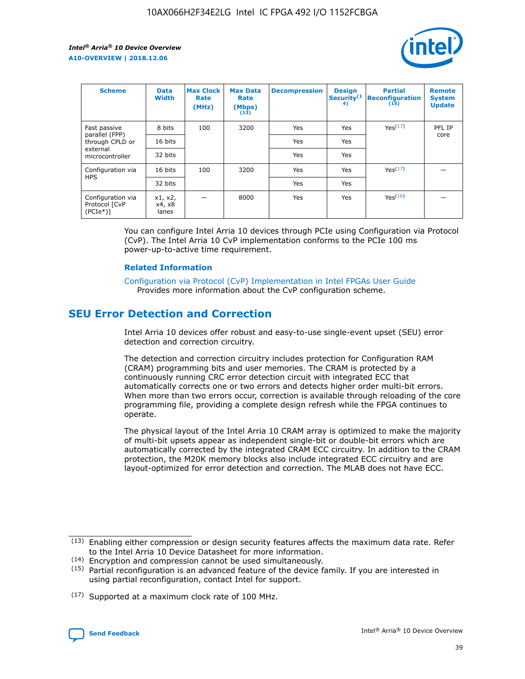![](_page_39_Picture_2.jpeg)

| <b>Scheme</b>                                    | <b>Data</b><br><b>Width</b> | <b>Max Clock</b><br>Rate<br>(MHz) | <b>Max Data</b><br>Rate<br>(Mbps)<br>(13) | <b>Decompression</b> | <b>Design</b><br>Security <sup>(1</sup><br>4) | <b>Partial</b><br><b>Reconfiguration</b><br>(15) | <b>Remote</b><br><b>System</b><br><b>Update</b> |
|--------------------------------------------------|-----------------------------|-----------------------------------|-------------------------------------------|----------------------|-----------------------------------------------|--------------------------------------------------|-------------------------------------------------|
| Fast passive                                     | 8 bits                      | 100                               | 3200                                      | <b>Yes</b>           | Yes                                           | Yes(17)                                          | PFL IP                                          |
| parallel (FPP)<br>through CPLD or                | 16 bits                     |                                   |                                           | Yes                  | Yes                                           |                                                  | core                                            |
| external<br>microcontroller                      | 32 bits                     |                                   |                                           | Yes                  | Yes                                           |                                                  |                                                 |
| Configuration via                                | 16 bits                     | 100                               | 3200                                      | Yes                  | Yes                                           | Yes <sup>(17)</sup>                              |                                                 |
| <b>HPS</b>                                       | 32 bits                     |                                   |                                           | Yes                  | Yes                                           |                                                  |                                                 |
| Configuration via<br>Protocol [CvP<br>$(PCIe^*)$ | x1, x2,<br>x4, x8<br>lanes  |                                   | 8000                                      | Yes                  | Yes                                           | Yes <sup>(16)</sup>                              |                                                 |

You can configure Intel Arria 10 devices through PCIe using Configuration via Protocol (CvP). The Intel Arria 10 CvP implementation conforms to the PCIe 100 ms power-up-to-active time requirement.

#### **Related Information**

[Configuration via Protocol \(CvP\) Implementation in Intel FPGAs User Guide](https://www.intel.com/content/www/us/en/programmable/documentation/dsu1441819344145.html#dsu1442269728522) Provides more information about the CvP configuration scheme.

# **SEU Error Detection and Correction**

Intel Arria 10 devices offer robust and easy-to-use single-event upset (SEU) error detection and correction circuitry.

The detection and correction circuitry includes protection for Configuration RAM (CRAM) programming bits and user memories. The CRAM is protected by a continuously running CRC error detection circuit with integrated ECC that automatically corrects one or two errors and detects higher order multi-bit errors. When more than two errors occur, correction is available through reloading of the core programming file, providing a complete design refresh while the FPGA continues to operate.

The physical layout of the Intel Arria 10 CRAM array is optimized to make the majority of multi-bit upsets appear as independent single-bit or double-bit errors which are automatically corrected by the integrated CRAM ECC circuitry. In addition to the CRAM protection, the M20K memory blocks also include integrated ECC circuitry and are layout-optimized for error detection and correction. The MLAB does not have ECC.

<sup>(17)</sup> Supported at a maximum clock rate of 100 MHz.

![](_page_39_Picture_15.jpeg)

 $(13)$  Enabling either compression or design security features affects the maximum data rate. Refer to the Intel Arria 10 Device Datasheet for more information.

<sup>(14)</sup> Encryption and compression cannot be used simultaneously.

 $(15)$  Partial reconfiguration is an advanced feature of the device family. If you are interested in using partial reconfiguration, contact Intel for support.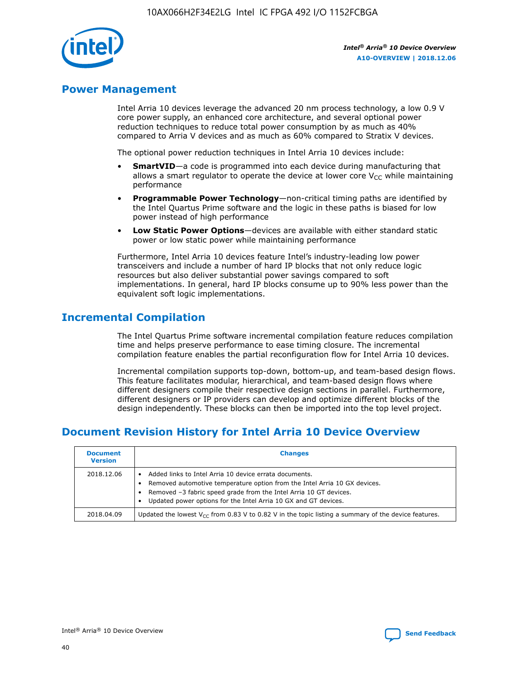![](_page_40_Picture_1.jpeg)

## **Power Management**

Intel Arria 10 devices leverage the advanced 20 nm process technology, a low 0.9 V core power supply, an enhanced core architecture, and several optional power reduction techniques to reduce total power consumption by as much as 40% compared to Arria V devices and as much as 60% compared to Stratix V devices.

The optional power reduction techniques in Intel Arria 10 devices include:

- **SmartVID**—a code is programmed into each device during manufacturing that allows a smart regulator to operate the device at lower core  $V_{CC}$  while maintaining performance
- **Programmable Power Technology**—non-critical timing paths are identified by the Intel Quartus Prime software and the logic in these paths is biased for low power instead of high performance
- **Low Static Power Options**—devices are available with either standard static power or low static power while maintaining performance

Furthermore, Intel Arria 10 devices feature Intel's industry-leading low power transceivers and include a number of hard IP blocks that not only reduce logic resources but also deliver substantial power savings compared to soft implementations. In general, hard IP blocks consume up to 90% less power than the equivalent soft logic implementations.

# **Incremental Compilation**

The Intel Quartus Prime software incremental compilation feature reduces compilation time and helps preserve performance to ease timing closure. The incremental compilation feature enables the partial reconfiguration flow for Intel Arria 10 devices.

Incremental compilation supports top-down, bottom-up, and team-based design flows. This feature facilitates modular, hierarchical, and team-based design flows where different designers compile their respective design sections in parallel. Furthermore, different designers or IP providers can develop and optimize different blocks of the design independently. These blocks can then be imported into the top level project.

# **Document Revision History for Intel Arria 10 Device Overview**

| <b>Document</b><br><b>Version</b> | <b>Changes</b>                                                                                                                                                                                                                                                              |
|-----------------------------------|-----------------------------------------------------------------------------------------------------------------------------------------------------------------------------------------------------------------------------------------------------------------------------|
| 2018.12.06                        | Added links to Intel Arria 10 device errata documents.<br>Removed automotive temperature option from the Intel Arria 10 GX devices.<br>Removed -3 fabric speed grade from the Intel Arria 10 GT devices.<br>Updated power options for the Intel Arria 10 GX and GT devices. |
| 2018.04.09                        | Updated the lowest $V_{CC}$ from 0.83 V to 0.82 V in the topic listing a summary of the device features.                                                                                                                                                                    |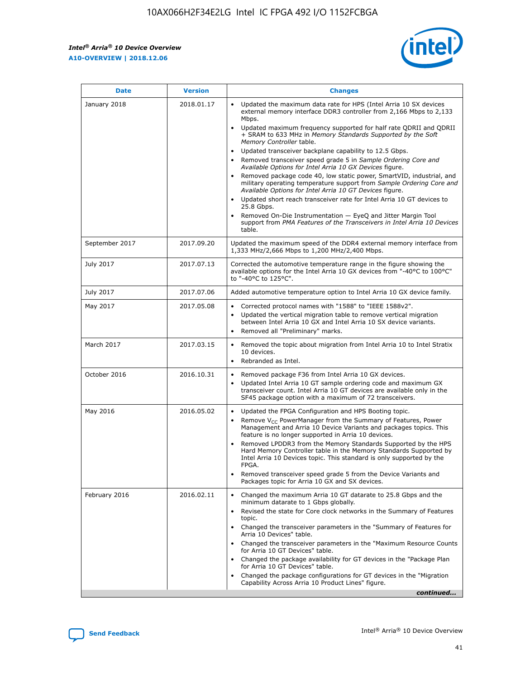*Intel® Arria® 10 Device Overview* **A10-OVERVIEW | 2018.12.06**

![](_page_41_Picture_2.jpeg)

| <b>Date</b>    | <b>Version</b> | <b>Changes</b>                                                                                                                                                                                                                                                                                                                                                                                                                                                                                                                                                                                                                                                                                                                                                                                                                                                                                                                                                            |
|----------------|----------------|---------------------------------------------------------------------------------------------------------------------------------------------------------------------------------------------------------------------------------------------------------------------------------------------------------------------------------------------------------------------------------------------------------------------------------------------------------------------------------------------------------------------------------------------------------------------------------------------------------------------------------------------------------------------------------------------------------------------------------------------------------------------------------------------------------------------------------------------------------------------------------------------------------------------------------------------------------------------------|
| January 2018   | 2018.01.17     | Updated the maximum data rate for HPS (Intel Arria 10 SX devices<br>external memory interface DDR3 controller from 2,166 Mbps to 2,133<br>Mbps.<br>Updated maximum frequency supported for half rate QDRII and QDRII<br>+ SRAM to 633 MHz in Memory Standards Supported by the Soft<br>Memory Controller table.<br>Updated transceiver backplane capability to 12.5 Gbps.<br>$\bullet$<br>Removed transceiver speed grade 5 in Sample Ordering Core and<br>Available Options for Intel Arria 10 GX Devices figure.<br>Removed package code 40, low static power, SmartVID, industrial, and<br>military operating temperature support from Sample Ordering Core and<br>Available Options for Intel Arria 10 GT Devices figure.<br>Updated short reach transceiver rate for Intel Arria 10 GT devices to<br>25.8 Gbps.<br>Removed On-Die Instrumentation - EyeQ and Jitter Margin Tool<br>support from PMA Features of the Transceivers in Intel Arria 10 Devices<br>table. |
| September 2017 | 2017.09.20     | Updated the maximum speed of the DDR4 external memory interface from<br>1,333 MHz/2,666 Mbps to 1,200 MHz/2,400 Mbps.                                                                                                                                                                                                                                                                                                                                                                                                                                                                                                                                                                                                                                                                                                                                                                                                                                                     |
| July 2017      | 2017.07.13     | Corrected the automotive temperature range in the figure showing the<br>available options for the Intel Arria 10 GX devices from "-40°C to 100°C"<br>to "-40°C to 125°C".                                                                                                                                                                                                                                                                                                                                                                                                                                                                                                                                                                                                                                                                                                                                                                                                 |
| July 2017      | 2017.07.06     | Added automotive temperature option to Intel Arria 10 GX device family.                                                                                                                                                                                                                                                                                                                                                                                                                                                                                                                                                                                                                                                                                                                                                                                                                                                                                                   |
| May 2017       | 2017.05.08     | Corrected protocol names with "1588" to "IEEE 1588v2".<br>$\bullet$<br>Updated the vertical migration table to remove vertical migration<br>$\bullet$<br>between Intel Arria 10 GX and Intel Arria 10 SX device variants.<br>Removed all "Preliminary" marks.<br>$\bullet$                                                                                                                                                                                                                                                                                                                                                                                                                                                                                                                                                                                                                                                                                                |
| March 2017     | 2017.03.15     | Removed the topic about migration from Intel Arria 10 to Intel Stratix<br>10 devices.<br>Rebranded as Intel.<br>$\bullet$                                                                                                                                                                                                                                                                                                                                                                                                                                                                                                                                                                                                                                                                                                                                                                                                                                                 |
| October 2016   | 2016.10.31     | Removed package F36 from Intel Arria 10 GX devices.<br>Updated Intel Arria 10 GT sample ordering code and maximum GX<br>$\bullet$<br>transceiver count. Intel Arria 10 GT devices are available only in the<br>SF45 package option with a maximum of 72 transceivers.                                                                                                                                                                                                                                                                                                                                                                                                                                                                                                                                                                                                                                                                                                     |
| May 2016       | 2016.05.02     | Updated the FPGA Configuration and HPS Booting topic.<br>$\bullet$<br>Remove V <sub>CC</sub> PowerManager from the Summary of Features, Power<br>Management and Arria 10 Device Variants and packages topics. This<br>feature is no longer supported in Arria 10 devices.<br>Removed LPDDR3 from the Memory Standards Supported by the HPS<br>Hard Memory Controller table in the Memory Standards Supported by<br>Intel Arria 10 Devices topic. This standard is only supported by the<br>FPGA.<br>Removed transceiver speed grade 5 from the Device Variants and<br>Packages topic for Arria 10 GX and SX devices.                                                                                                                                                                                                                                                                                                                                                      |
| February 2016  | 2016.02.11     | Changed the maximum Arria 10 GT datarate to 25.8 Gbps and the<br>minimum datarate to 1 Gbps globally.<br>Revised the state for Core clock networks in the Summary of Features<br>$\bullet$<br>topic.<br>Changed the transceiver parameters in the "Summary of Features for<br>$\bullet$<br>Arria 10 Devices" table.<br>• Changed the transceiver parameters in the "Maximum Resource Counts<br>for Arria 10 GT Devices" table.<br>Changed the package availability for GT devices in the "Package Plan<br>for Arria 10 GT Devices" table.<br>Changed the package configurations for GT devices in the "Migration"<br>Capability Across Arria 10 Product Lines" figure.<br>continued                                                                                                                                                                                                                                                                                       |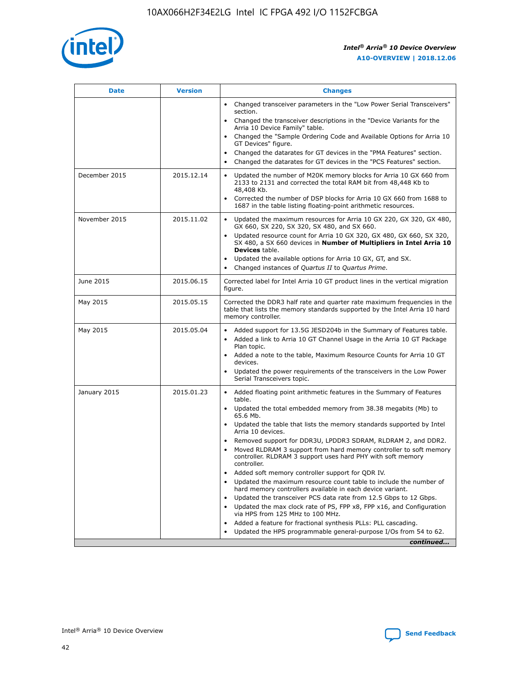![](_page_42_Picture_1.jpeg)

| <b>Date</b>   | <b>Version</b> | <b>Changes</b>                                                                                                                                                               |
|---------------|----------------|------------------------------------------------------------------------------------------------------------------------------------------------------------------------------|
|               |                | • Changed transceiver parameters in the "Low Power Serial Transceivers"<br>section.                                                                                          |
|               |                | • Changed the transceiver descriptions in the "Device Variants for the<br>Arria 10 Device Family" table.                                                                     |
|               |                | Changed the "Sample Ordering Code and Available Options for Arria 10<br>$\bullet$<br>GT Devices" figure.                                                                     |
|               |                | Changed the datarates for GT devices in the "PMA Features" section.                                                                                                          |
|               |                | Changed the datarates for GT devices in the "PCS Features" section.<br>$\bullet$                                                                                             |
| December 2015 | 2015.12.14     | Updated the number of M20K memory blocks for Arria 10 GX 660 from<br>2133 to 2131 and corrected the total RAM bit from 48,448 Kb to<br>48,408 Kb.                            |
|               |                | Corrected the number of DSP blocks for Arria 10 GX 660 from 1688 to<br>1687 in the table listing floating-point arithmetic resources.                                        |
| November 2015 | 2015.11.02     | Updated the maximum resources for Arria 10 GX 220, GX 320, GX 480,<br>$\bullet$<br>GX 660, SX 220, SX 320, SX 480, and SX 660.                                               |
|               |                | • Updated resource count for Arria 10 GX 320, GX 480, GX 660, SX 320,<br>SX 480, a SX 660 devices in Number of Multipliers in Intel Arria 10<br><b>Devices</b> table.        |
|               |                | Updated the available options for Arria 10 GX, GT, and SX.                                                                                                                   |
|               |                | Changed instances of Quartus II to Quartus Prime.<br>$\bullet$                                                                                                               |
| June 2015     | 2015.06.15     | Corrected label for Intel Arria 10 GT product lines in the vertical migration<br>figure.                                                                                     |
| May 2015      | 2015.05.15     | Corrected the DDR3 half rate and quarter rate maximum frequencies in the<br>table that lists the memory standards supported by the Intel Arria 10 hard<br>memory controller. |
| May 2015      | 2015.05.04     | • Added support for 13.5G JESD204b in the Summary of Features table.<br>• Added a link to Arria 10 GT Channel Usage in the Arria 10 GT Package<br>Plan topic.                |
|               |                | • Added a note to the table, Maximum Resource Counts for Arria 10 GT<br>devices.                                                                                             |
|               |                | • Updated the power requirements of the transceivers in the Low Power<br>Serial Transceivers topic.                                                                          |
| January 2015  | 2015.01.23     | • Added floating point arithmetic features in the Summary of Features<br>table.                                                                                              |
|               |                | • Updated the total embedded memory from 38.38 megabits (Mb) to<br>65.6 Mb.                                                                                                  |
|               |                | • Updated the table that lists the memory standards supported by Intel<br>Arria 10 devices.                                                                                  |
|               |                | Removed support for DDR3U, LPDDR3 SDRAM, RLDRAM 2, and DDR2.                                                                                                                 |
|               |                | Moved RLDRAM 3 support from hard memory controller to soft memory<br>controller. RLDRAM 3 support uses hard PHY with soft memory<br>controller.                              |
|               |                | Added soft memory controller support for QDR IV.<br>٠                                                                                                                        |
|               |                | Updated the maximum resource count table to include the number of<br>hard memory controllers available in each device variant.                                               |
|               |                | Updated the transceiver PCS data rate from 12.5 Gbps to 12 Gbps.<br>$\bullet$                                                                                                |
|               |                | Updated the max clock rate of PS, FPP x8, FPP x16, and Configuration<br>via HPS from 125 MHz to 100 MHz.                                                                     |
|               |                | Added a feature for fractional synthesis PLLs: PLL cascading.                                                                                                                |
|               |                | Updated the HPS programmable general-purpose I/Os from 54 to 62.<br>$\bullet$<br>continued                                                                                   |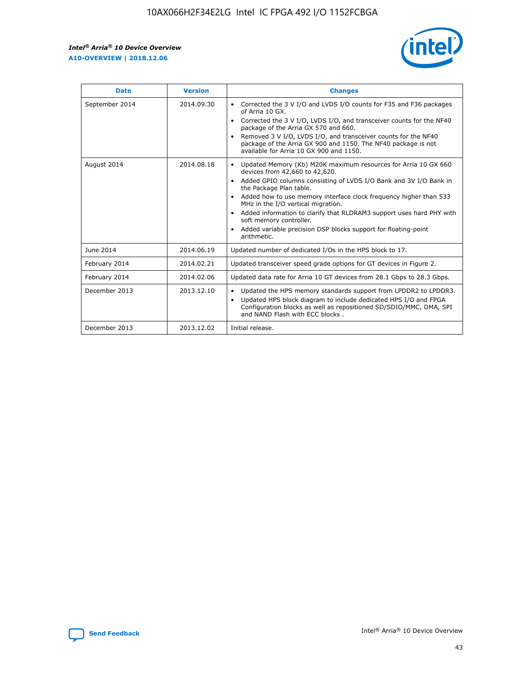![](_page_43_Picture_2.jpeg)

| <b>Date</b>    | <b>Version</b> | <b>Changes</b>                                                                                                                                                                                                                                                                                                                                                                                                                                                                                                                                      |
|----------------|----------------|-----------------------------------------------------------------------------------------------------------------------------------------------------------------------------------------------------------------------------------------------------------------------------------------------------------------------------------------------------------------------------------------------------------------------------------------------------------------------------------------------------------------------------------------------------|
| September 2014 | 2014.09.30     | Corrected the 3 V I/O and LVDS I/O counts for F35 and F36 packages<br>$\bullet$<br>of Arria 10 GX.<br>Corrected the 3 V I/O, LVDS I/O, and transceiver counts for the NF40<br>$\bullet$<br>package of the Arria GX 570 and 660.<br>Removed 3 V I/O, LVDS I/O, and transceiver counts for the NF40<br>$\bullet$<br>package of the Arria GX 900 and 1150. The NF40 package is not<br>available for Arria 10 GX 900 and 1150.                                                                                                                          |
| August 2014    | 2014.08.18     | Updated Memory (Kb) M20K maximum resources for Arria 10 GX 660<br>devices from 42,660 to 42,620.<br>Added GPIO columns consisting of LVDS I/O Bank and 3V I/O Bank in<br>$\bullet$<br>the Package Plan table.<br>Added how to use memory interface clock frequency higher than 533<br>$\bullet$<br>MHz in the I/O vertical migration.<br>Added information to clarify that RLDRAM3 support uses hard PHY with<br>$\bullet$<br>soft memory controller.<br>Added variable precision DSP blocks support for floating-point<br>$\bullet$<br>arithmetic. |
| June 2014      | 2014.06.19     | Updated number of dedicated I/Os in the HPS block to 17.                                                                                                                                                                                                                                                                                                                                                                                                                                                                                            |
| February 2014  | 2014.02.21     | Updated transceiver speed grade options for GT devices in Figure 2.                                                                                                                                                                                                                                                                                                                                                                                                                                                                                 |
| February 2014  | 2014.02.06     | Updated data rate for Arria 10 GT devices from 28.1 Gbps to 28.3 Gbps.                                                                                                                                                                                                                                                                                                                                                                                                                                                                              |
| December 2013  | 2013.12.10     | Updated the HPS memory standards support from LPDDR2 to LPDDR3.<br>Updated HPS block diagram to include dedicated HPS I/O and FPGA<br>$\bullet$<br>Configuration blocks as well as repositioned SD/SDIO/MMC, DMA, SPI<br>and NAND Flash with ECC blocks.                                                                                                                                                                                                                                                                                            |
| December 2013  | 2013.12.02     | Initial release.                                                                                                                                                                                                                                                                                                                                                                                                                                                                                                                                    |

![](_page_43_Picture_4.jpeg)